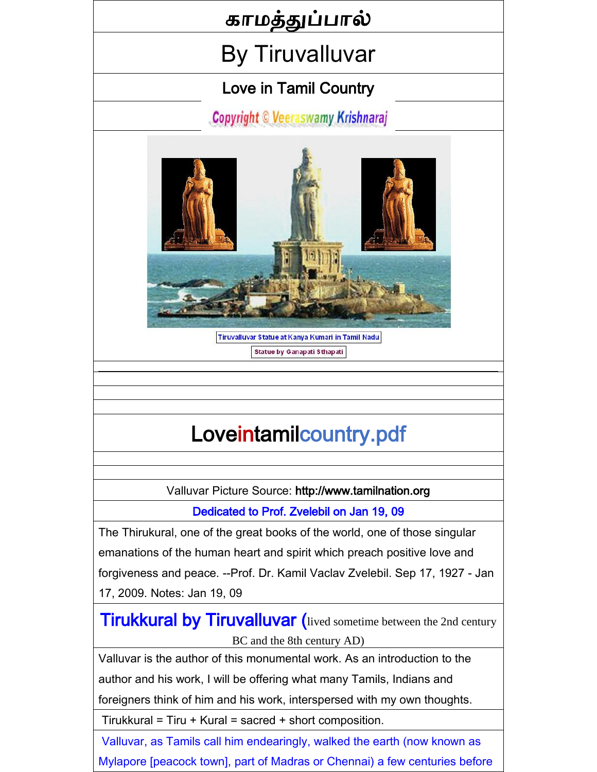## காமத்துப்பால்

## By Tiruvalluvar

## Love in Tamil Country

**Copyright © Veeraswamy Krishnaraj** 



Tiruvalluvar Statue at Kanya Kumari in Tamil Nadu Statue by Ganapati Sthapati

# [Loveintamilcountry.pdf](Love_in_tamil_country.pdf)

Valluvar Picture Source: [http://www.tamilnation.org](http://www.tamilnation.org/)

Dedicated to Prof. Zvelebil on Jan 19, 09

The [Thirukural,](http://www.tamilnation.org/literature/kural/index.htm) one of the great books of the world, one of those singular emanations of the human heart and spirit which preach positive love and forgiveness and peace. -[-Prof. Dr. Kamil Vaclav Zvelebil.](http://www.tamilnation.org/literature/zvelebil.htm) Sep 17, 1927 - Jan 17, 2009. Notes: Jan 19, 09

**Tirukkural by Tiruvalluvar** (lived sometime between the 2nd century BC and the 8th century AD)

Valluvar is the author of this monumental work. As an introduction to the

author and his work, I will be offering what many Tamils, Indians and

foreigners think of him and his work, interspersed with my own thoughts.

Tirukkural = Tiru + Kural = sacred + short composition.

Valluvar, as Tamils call him endearingly, walked the earth (now known as Mylapore [peacock town], part of Madras or Chennai) a few centuries before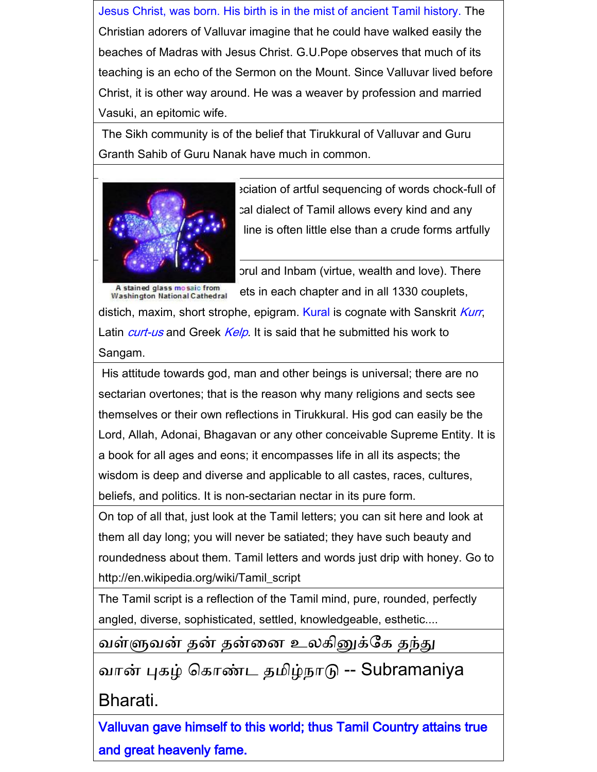Jesus Christ, was born. His birth is in the mist of ancient Tamil history. The Christian adorers of Valluvar imagine that he could have walked easily the beaches of Madras with Jesus Christ. G.U.Pope observes that much of its teaching is an echo of the Sermon on the Mount. Since Valluvar lived before Christ, it is other way around. He was a weaver by profession and married Vasuki, an epitomic wife.

The Sikh community is of the belief that Tirukkural of Valluvar and Guru Granth Sahib of Guru Nanak have much in common.



eciation of artful sequencing of words chock-full of cal dialect of Tamil allows every kind and any line is often little else than a crude forms artfully

prul and Inbam (virtue, wealth and love). There

A stained glass mosaic from<br>Washington National Cathedral ets in each chapter and in all 1330 couplets, distich, maxim, short strophe, epigram. Kural is cognate with Sanskrit Kurr, Latin *curt-us* and Greek *Kelp*. It is said that he submitted his work to Sangam.

His attitude towards god, man and other beings is universal; there are no sectarian overtones; that is the reason why many religions and sects see themselves or their own reflections in Tirukkural. His god can easily be the Lord, Allah, Adonai, Bhagavan or any other conceivable Supreme Entity. It is a book for all ages and eons; it encompasses life in all its aspects; the wisdom is deep and diverse and applicable to all castes, races, cultures, beliefs, and politics. It is non-sectarian nectar in its pure form.

On top of all that, just look at the Tamil letters; you can sit here and look at them all day long; you will never be satiated; they have such beauty and roundedness about them. Tamil letters and words just drip with honey. Go to [http://en.wikipedia.org/wiki/Tamil\\_script](http://en.wikipedia.org/wiki/Tamil_script)

The Tamil script is a reflection of the Tamil mind, pure, rounded, perfectly angled, diverse, sophisticated, settled, knowledgeable, esthetic....

வள்ளுவன் தன் தன்னை உலகினுக்கக தந்து

வான் புகழ் ககாண்ட தமிழ்நாடு -- Subramaniya

Bharati.

Valluvan gave himself to this world; thus Tamil Country attains true and great heavenly fame.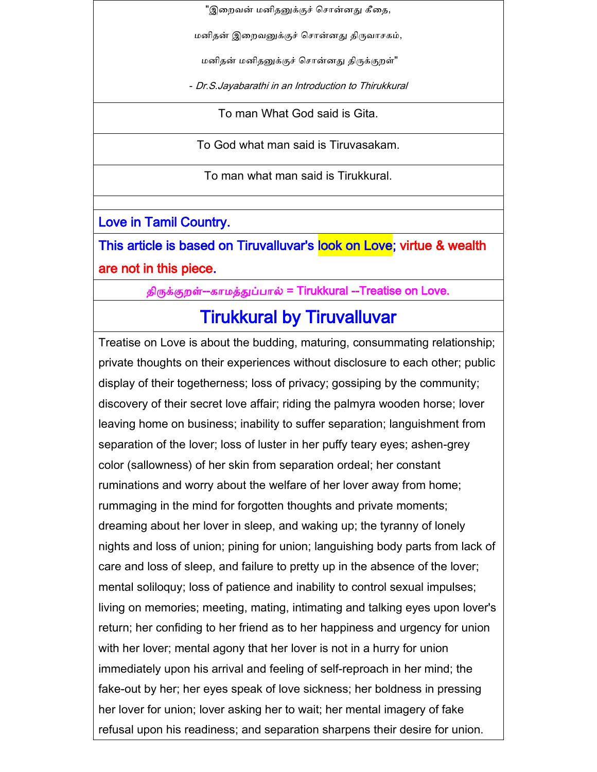"இறைவன் மனிதனுக்குச் சொன்னது கீதை,

மனிதன் இறைவனுக்குச் சொன்னது திருவாசகம்,

மனிதன் மனிதனுக்குச் சொன்னது திருக்குறள்"

- Dr.S.Jayabarathi in an Introduction to Thirukkural

To man What God said is Gita.

To God what man said is Tiruvasakam.

To man what man said is Tirukkural.

Love in Tamil Country.

This article is based on Tiruvalluvar's look on Love; virtue & wealth are not in this piece.

திருக்குறள்--காமத்துப்பால் = Tirukkural --Treatise on Love.

## Tirukkural by Tiruvalluvar

Treatise on Love is about the budding, maturing, consummating relationship; private thoughts on their experiences without disclosure to each other; public display of their togetherness; loss of privacy; gossiping by the community; discovery of their secret love affair; riding the palmyra wooden horse; lover leaving home on business; inability to suffer separation; languishment from separation of the lover; loss of luster in her puffy teary eyes; ashen-grey color (sallowness) of her skin from separation ordeal; her constant ruminations and worry about the welfare of her lover away from home; rummaging in the mind for forgotten thoughts and private moments; dreaming about her lover in sleep, and waking up; the tyranny of lonely nights and loss of union; pining for union; languishing body parts from lack of care and loss of sleep, and failure to pretty up in the absence of the lover; mental soliloquy; loss of patience and inability to control sexual impulses; living on memories; meeting, mating, intimating and talking eyes upon lover's return; her confiding to her friend as to her happiness and urgency for union with her lover; mental agony that her lover is not in a hurry for union immediately upon his arrival and feeling of self-reproach in her mind; the fake-out by her; her eyes speak of love sickness; her boldness in pressing her lover for union; lover asking her to wait; her mental imagery of fake refusal upon his readiness; and separation sharpens their desire for union.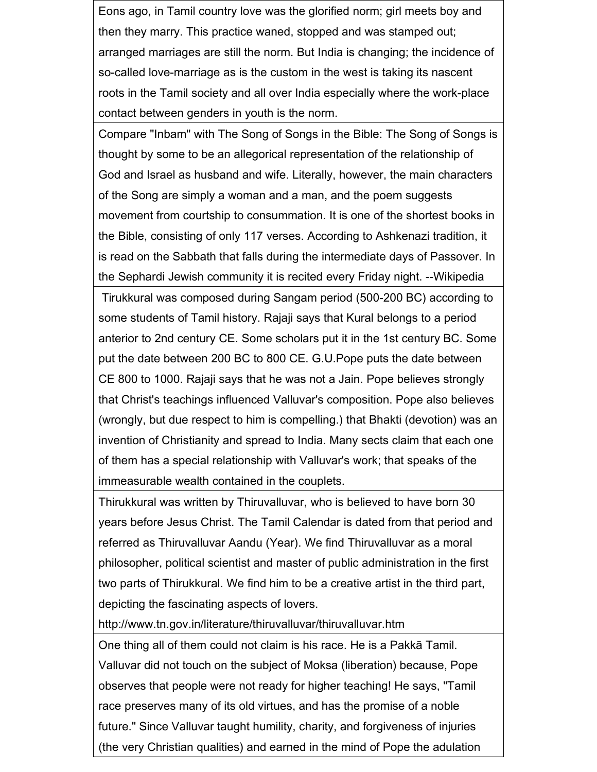Eons ago, in Tamil country love was the glorified norm; girl meets boy and then they marry. This practice waned, stopped and was stamped out; arranged marriages are still the norm. But India is changing; the incidence of so-called love-marriage as is the custom in the west is taking its nascent roots in the Tamil society and all over India especially where the work-place contact between genders in youth is the norm.

Compare "Inbam" with The Song of Songs in the Bible: The Song of Songs is thought by some to be an allegorical representation of the relationship of God and Israel as husband and wife. Literally, however, the main characters of the Song are simply a woman and a man, and the poem suggests movement from courtship to consummation. It is one of the shortest books in the Bible, consisting of only 117 verses. According to Ashkenazi tradition, it is read on the Sabbath that falls during the intermediate days of Passover. In the Sephardi Jewish community it is recited every Friday night. --Wikipedia

Tirukkural was composed during Sangam period (500-200 BC) according to some students of Tamil history. Rajaji says that Kural belongs to a period anterior to 2nd century CE. Some scholars put it in the 1st century BC. Some put the date between 200 BC to 800 CE. G.U.Pope puts the date between CE 800 to 1000. Rajaji says that he was not a Jain. Pope believes strongly that Christ's teachings influenced Valluvar's composition. Pope also believes (wrongly, but due respect to him is compelling.) that Bhakti (devotion) was an invention of Christianity and spread to India. Many sects claim that each one of them has a special relationship with Valluvar's work; that speaks of the immeasurable wealth contained in the couplets.

Thirukkural was written by Thiruvalluvar, who is believed to have born 30 years before Jesus Christ. The Tamil Calendar is dated from that period and referred as Thiruvalluvar Aandu (Year). We find Thiruvalluvar as a moral philosopher, political scientist and master of public administration in the first two parts of Thirukkural. We find him to be a creative artist in the third part, depicting the fascinating aspects of lovers.

http://www.tn.gov.in/literature/thiruvalluvar/thiruvalluvar.htm

One thing all of them could not claim is his race. He is a Pakkā Tamil. Valluvar did not touch on the subject of Moksa (liberation) because, Pope observes that people were not ready for higher teaching! He says, "Tamil race preserves many of its old virtues, and has the promise of a noble future." Since Valluvar taught humility, charity, and forgiveness of injuries (the very Christian qualities) and earned in the mind of Pope the adulation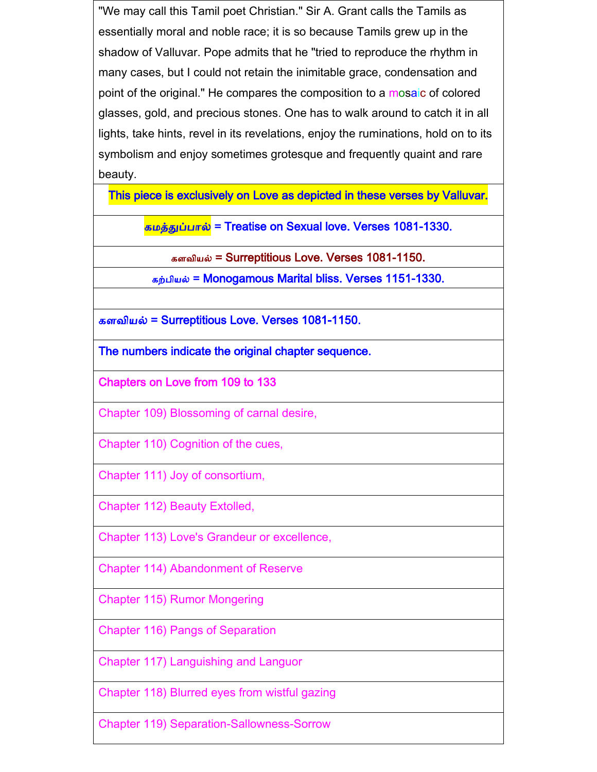"We may call this Tamil poet Christian." Sir A. Grant calls the Tamils as essentially moral and noble race; it is so because Tamils grew up in the shadow of Valluvar. Pope admits that he "tried to reproduce the rhythm in many cases, but I could not retain the inimitable grace, condensation and point of the original." He compares the composition to a mosaic of colored glasses, gold, and precious stones. One has to walk around to catch it in all lights, take hints, revel in its revelations, enjoy the ruminations, hold on to its symbolism and enjoy sometimes grotesque and frequently quaint and rare beauty.

This piece is exclusively on Love as depicted in these verses by Valluvar.

கமத்துப்பால் = Treatise on Sexual love. Verses 1081-1330.

களவியல் = Surreptitious Love. Verses 1081-1150.

கற்பியல் = Monogamous Marital bliss. Verses 1151-1330.

களவியல் = Surreptitious Love. Verses 1081-1150.

The numbers indicate the original chapter sequence.

Chapters on Love from 109 to 133

Chapter 109) Blossoming of carnal desire,

Chapter 110) Cognition of the cues,

Chapter 111) Joy of consortium,

Chapter 112) Beauty Extolled,

Chapter 113) Love's Grandeur or excellence,

Chapter 114) Abandonment of Reserve

Chapter 115) Rumor Mongering

Chapter 116) Pangs of Separation

Chapter 117) Languishing and Languor

Chapter 118) Blurred eyes from wistful gazing

Chapter 119) Separation-Sallowness-Sorrow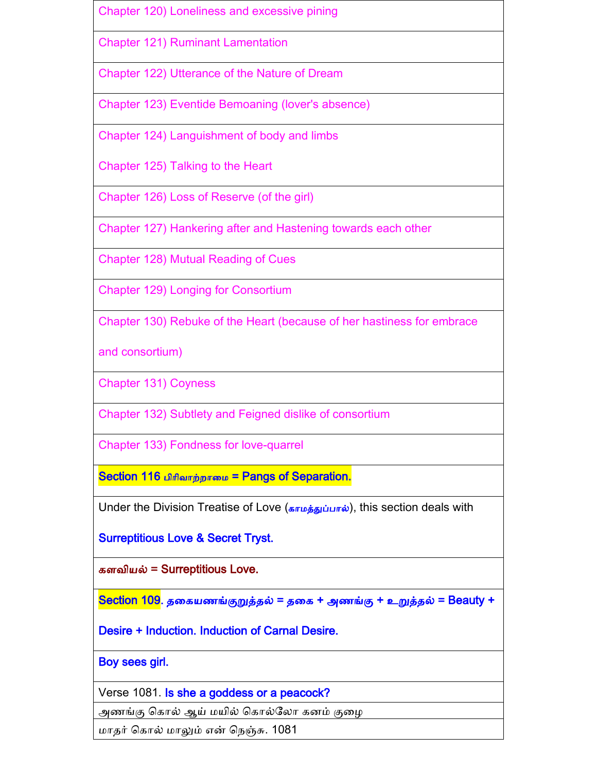|  | Chapter 120) Loneliness and excessive pining |
|--|----------------------------------------------|
|  |                                              |

Chapter 121) Ruminant Lamentation

Chapter 122) Utterance of the Nature of Dream

Chapter 123) Eventide Bemoaning (lover's absence)

Chapter 124) Languishment of body and limbs

Chapter 125) Talking to the Heart

Chapter 126) Loss of Reserve (of the girl)

Chapter 127) Hankering after and Hastening towards each other

Chapter 128) Mutual Reading of Cues

Chapter 129) Longing for Consortium

Chapter 130) Rebuke of the Heart (because of her hastiness for embrace

and consortium)

Chapter 131) Coyness

Chapter 132) Subtlety and Feigned dislike of consortium

Chapter 133) Fondness for love-quarrel

Section 116 பிரிவாற்றாமை = Pangs of Separation.

Under the Division Treatise of Love (காமத்துப்பால்), this section deals with

Surreptitious Love & Secret Tryst.

களவியல் = Surreptitious Love.

Section 109. தனகயணங்குறுத்தல் = தனக + அணங்கு + உறுத்தல் = Beauty +

Desire + Induction. Induction of Carnal Desire.

Boy sees girl.

Verse 1081. Is she a goddess or a peacock?

அணங்கு கொல் ஆய் மயில் கொல்லோ கனம் குழை

மாதர் ககால் மாலும் என் கநஞ்சு. 1081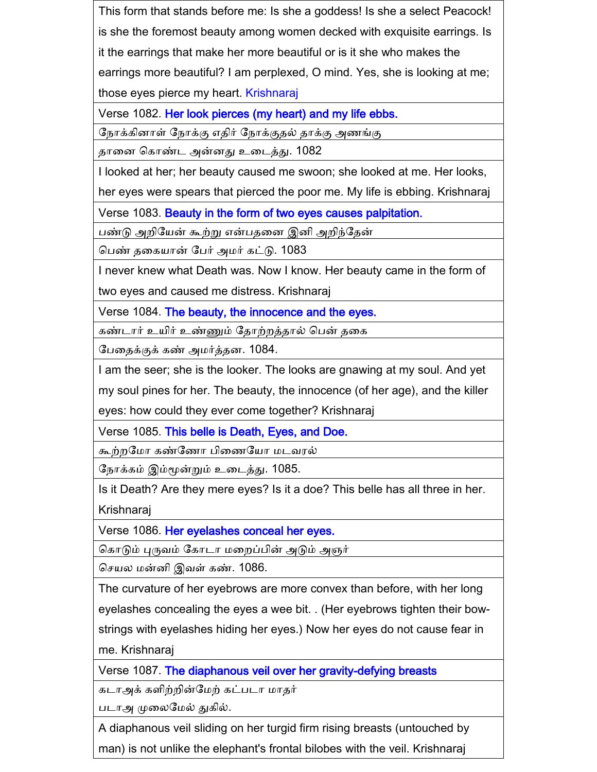This form that stands before me: Is she a goddess! Is she a select Peacock! is she the foremost beauty among women decked with exquisite earrings. Is it the earrings that make her more beautiful or is it she who makes the earrings more beautiful? I am perplexed, O mind. Yes, she is looking at me; those eyes pierce my heart. Krishnaraj

Verse 1082. Her look pierces (my heart) and my life ebbs.

கநாக்கிைாள் கநாக்கு எதிர் கநாக்குதல் தாக்கு அணங்கு

தானை ககாண்ட அன்ைது உனடத்து. 1082

I looked at her; her beauty caused me swoon; she looked at me. Her looks,

her eyes were spears that pierced the poor me. My life is ebbing. Krishnaraj

Verse 1083. Beauty in the form of two eyes causes palpitation.

பண்டு அறியேன் கூற்று என்பதனை இனி அறிந்தேன்

கபண் தனகயான் கபர் அமர் கட்டு. 1083

I never knew what Death was. Now I know. Her beauty came in the form of two eyes and caused me distress. Krishnaraj

Verse 1084. The beauty, the innocence and the eyes.

கண்டார் உயிர் உண்ணும் தோற்றத்தால் பென் தகை

கபனதக்குக் கண் அமர்த்தை. 1084.

I am the seer; she is the looker. The looks are gnawing at my soul. And yet

my soul pines for her. The beauty, the innocence (of her age), and the killer

eyes: how could they ever come together? Krishnaraj

Verse 1085. This belle is Death, Eyes, and Doe.

கூற்ைகமா கண்கணா பினணகயா மடவரல்

கநாக்கம் இம்மூன்றும் உனடத்து. 1085.

Is it Death? Are they mere eyes? Is it a doe? This belle has all three in her. Krishnaraj

Verse 1086. Her eyelashes conceal her eyes.

கொடும் புருவம் கோடா மறைப்பின் அடும் அஞர்

செயல மன்னி இவள் கண். 1086.

The curvature of her eyebrows are more convex than before, with her long eyelashes concealing the eyes a wee bit. . (Her eyebrows tighten their bowstrings with eyelashes hiding her eyes.) Now her eyes do not cause fear in me. Krishnaraj

Verse 1087. The diaphanous veil over her gravity-defying breasts

கடாஅக் களிற்றின்மேற் கட்படா மாதர்

படாஅ முனலகமல் துகில்.

A diaphanous veil sliding on her turgid firm rising breasts (untouched by man) is not unlike the elephant's frontal bilobes with the veil. Krishnaraj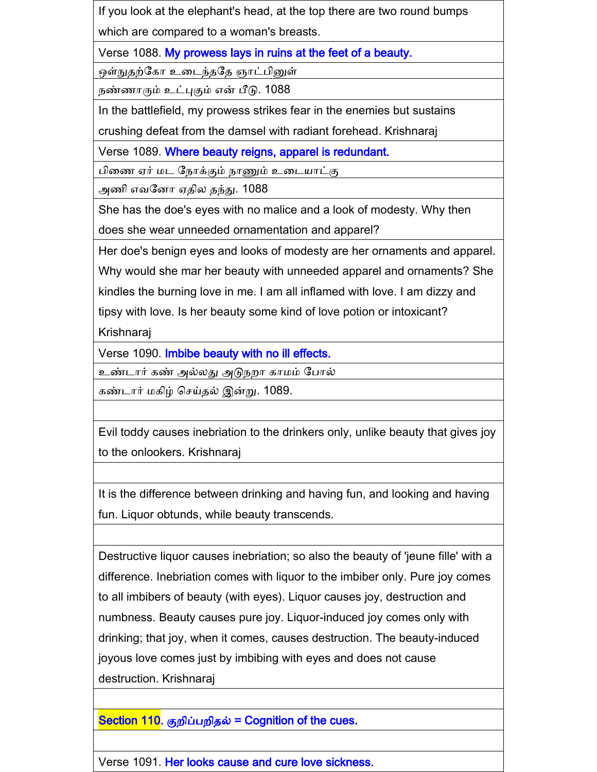If you look at the elephant's head, at the top there are two round bumps which are compared to a woman's breasts.

Verse 1088. My prowess lays in ruins at the feet of a beauty.

ஒள்நுதற்ககா உனடந்தகத ஞாட்பினுள்

நண்ணாரும் உட்புகும் என் பீடு. 1088

In the battlefield, my prowess strikes fear in the enemies but sustains

crushing defeat from the damsel with radiant forehead. Krishnaraj

Verse 1089. Where beauty reigns, apparel is redundant.

பினண ஏர் மட கநாக்கும் நாணும் உனடயாட்கு

அணி எவகைா ஏதில தந்து. 1088

She has the doe's eyes with no malice and a look of modesty. Why then does she wear unneeded ornamentation and apparel?

Her doe's benign eyes and looks of modesty are her ornaments and apparel.

Why would she mar her beauty with unneeded apparel and ornaments? She kindles the burning love in me. I am all inflamed with love. I am dizzy and

tipsy with love. Is her beauty some kind of love potion or intoxicant?

Krishnaraj

Verse 1090. Imbibe beauty with no ill effects.

உண்டார் கண் அல்லது அடுநைா காமம் கபால்

கண்டார் மகிழ் செய்தல் இன்று. 1089.

Evil toddy causes inebriation to the drinkers only, unlike beauty that gives joy to the onlookers. Krishnaraj

It is the difference between drinking and having fun, and looking and having fun. Liquor obtunds, while beauty transcends.

Destructive liquor causes inebriation; so also the beauty of 'jeune fille' with a difference. Inebriation comes with liquor to the imbiber only. Pure joy comes to all imbibers of beauty (with eyes). Liquor causes joy, destruction and numbness. Beauty causes pure joy. Liquor-induced joy comes only with drinking; that joy, when it comes, causes destruction. The beauty-induced joyous love comes just by imbibing with eyes and does not cause destruction. Krishnaraj

Section 110. குறிப்பறிதல் = Cognition of the cues.

Verse 1091. Her looks cause and cure love sickness.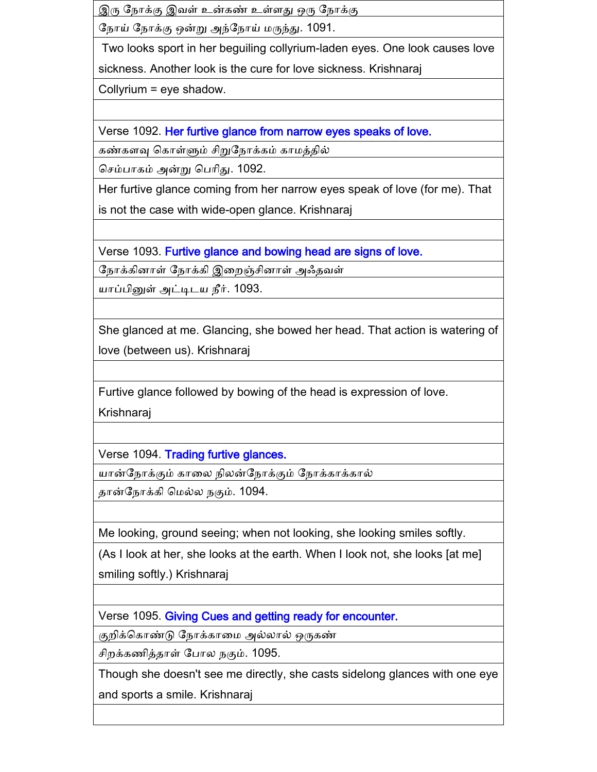இரு கநாக்கு இவள் உன்கண் உள்ளது ஒரு கநாக்கு

கநாய் கநாக்கு ஒன்று அந்கநாய் மருந்து. 1091.

Two looks sport in her beguiling collyrium-laden eyes. One look causes love sickness. Another look is the cure for love sickness. Krishnaraj

Collyrium = eye shadow.

Verse 1092. Her furtive glance from narrow eyes speaks of love.

கண்களவு கொள்ளும் சிறுநோக்கம் காமத்தில்

செம்பாகம் அன்று பெரிது. 1092.

Her furtive glance coming from her narrow eyes speak of love (for me). That is not the case with wide-open glance. Krishnaraj

Verse 1093. Furtive glance and bowing head are signs of love.

நோக்கினாள் நோக்கி இறைஞ்சினாள் அஃதவள்

யாப்பினுள் அட்டிடய நீர். 1093.

She glanced at me. Glancing, she bowed her head. That action is watering of love (between us). Krishnaraj

Furtive glance followed by bowing of the head is expression of love.

Krishnaraj

Verse 1094. Trading furtive glances.

யான்கநாக்கும் கானல நிலன்கநாக்கும் கநாக்காக்கால்

தான்கநாக்கி கமல்ல நகும். 1094.

Me looking, ground seeing; when not looking, she looking smiles softly.

(As I look at her, she looks at the earth. When I look not, she looks [at me] smiling softly.) Krishnaraj

Verse 1095. Giving Cues and getting ready for encounter.

குறிக்கொண்டு நோக்காமை அல்லால் ஒருகண்

ிைக்கணித்தாள் கபால நகும். 1095.

Though she doesn't see me directly, she casts sidelong glances with one eye and sports a smile. Krishnaraj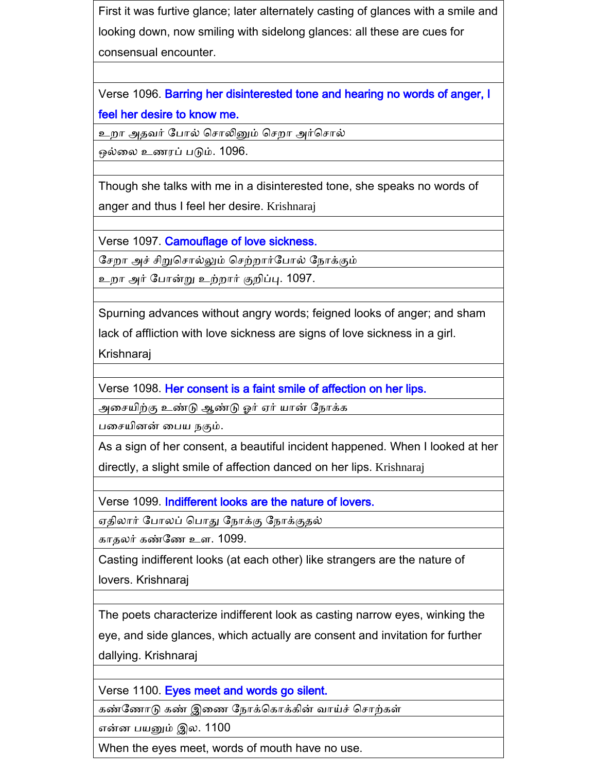First it was furtive glance; later alternately casting of glances with a smile and looking down, now smiling with sidelong glances: all these are cues for consensual encounter.

Verse 1096. Barring her disinterested tone and hearing no words of anger, I feel her desire to know me.

உறா அதவர் போல் சொலினும் செறா அர்சொல்

ஒல்னல உணரப் படும். 1096.

Though she talks with me in a disinterested tone, she speaks no words of anger and thus I feel her desire. Krishnaraj

Verse 1097. Camouflage of love sickness.

சேறா அச் சிறுசொல்லும் செற்றார்போல் நோக்கும்

உறா அர் போன்று உற்றார் குறிப்பு. 1097.

Spurning advances without angry words; feigned looks of anger; and sham

lack of affliction with love sickness are signs of love sickness in a girl.

Krishnaraj

Verse 1098. Her consent is a faint smile of affection on her lips.

அன யிற்கு உண்டு ஆண்டு ஓர் ஏர் யான் கநாக்க

பசையினன் பைய நகும்.

As a sign of her consent, a beautiful incident happened. When I looked at her directly, a slight smile of affection danced on her lips. Krishnaraj

Verse 1099. Indifferent looks are the nature of lovers.

ஏதிலார் கபாலப் கபாது கநாக்கு கநாக்குதல்

காதலர் கண்கண உள. 1099.

Casting indifferent looks (at each other) like strangers are the nature of lovers. Krishnaraj

The poets characterize indifferent look as casting narrow eyes, winking the eye, and side glances, which actually are consent and invitation for further dallying. Krishnaraj

Verse 1100. Eyes meet and words go silent.

கண்ணோடு கண் இணை நோக்கொக்கின் வாய்ச் சொற்கள்

என்ை பயனும் இல. 1100

When the eyes meet, words of mouth have no use.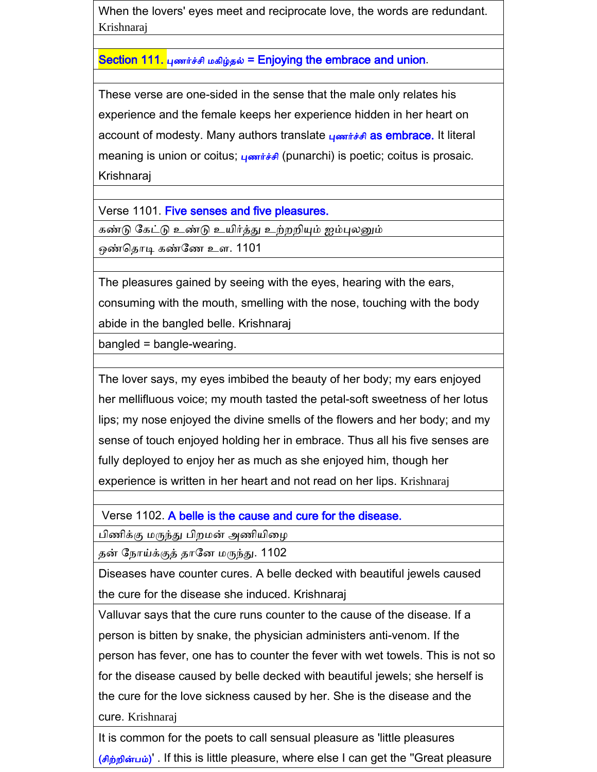When the lovers' eyes meet and reciprocate love, the words are redundant. Krishnaraj

Section 111. புணர்ச்சி மகிழ்தல் = Enjoying the embrace and union.

These verse are one-sided in the sense that the male only relates his experience and the female keeps her experience hidden in her heart on account of modesty. Many authors translate புணர்ச்சி as embrace. It literal meaning is union or coitus;  $\mu$  on  $\mu$ <sup>2</sup> (punarchi) is poetic; coitus is prosaic. Krishnaraj

Verse 1101. Five senses and five pleasures.

கண்டு கேட்டு உண்டு உயிர்த்து <u>உற்றறியும் ஐம்புலனும்</u>

ஒண்கதாடி கண்கண உள. 1101

The pleasures gained by seeing with the eyes, hearing with the ears, consuming with the mouth, smelling with the nose, touching with the body abide in the bangled belle. Krishnaraj

bangled = bangle-wearing.

The lover says, my eyes imbibed the beauty of her body; my ears enjoyed her mellifluous voice; my mouth tasted the petal-soft sweetness of her lotus lips; my nose enjoyed the divine smells of the flowers and her body; and my sense of touch enjoyed holding her in embrace. Thus all his five senses are fully deployed to enjoy her as much as she enjoyed him, though her experience is written in her heart and not read on her lips. Krishnaraj

Verse 1102. A belle is the cause and cure for the disease.

பிணிக்கு மருந்து பிறமன் அணியிழை

தன் கநாய்க்குத் தாகை மருந்து. 1102

Diseases have counter cures. A belle decked with beautiful jewels caused the cure for the disease she induced. Krishnaraj

Valluvar says that the cure runs counter to the cause of the disease. If a person is bitten by snake, the physician administers anti-venom. If the person has fever, one has to counter the fever with wet towels. This is not so for the disease caused by belle decked with beautiful jewels; she herself is the cure for the love sickness caused by her. She is the disease and the cure. Krishnaraj

It is common for the poets to call sensual pleasure as 'little pleasures (சிற்றின்பம்)'. If this is little pleasure, where else I can get the "Great pleasure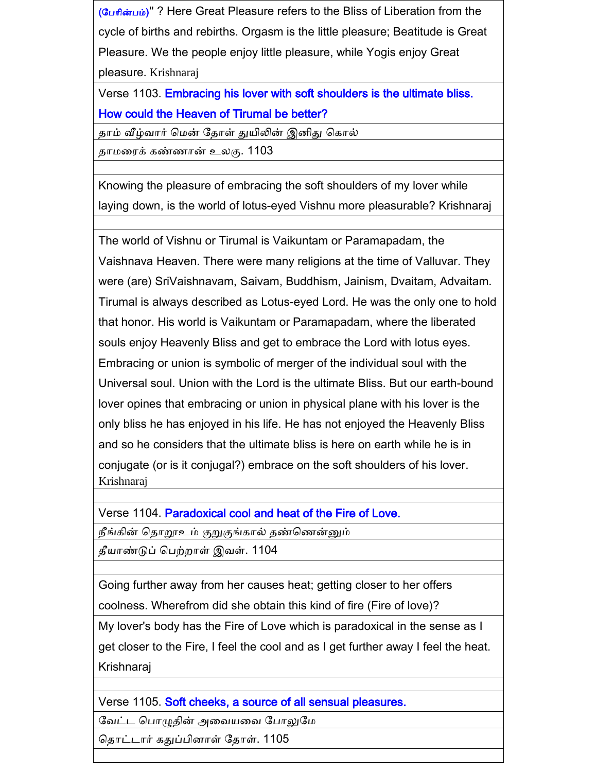(கபாின்பம்)'' ? Here Great Pleasure refers to the Bliss of Liberation from the cycle of births and rebirths. Orgasm is the little pleasure; Beatitude is Great Pleasure. We the people enjoy little pleasure, while Yogis enjoy Great pleasure. Krishnaraj

Verse 1103. Embracing his lover with soft shoulders is the ultimate bliss. How could the Heaven of Tirumal be better?

தாம் வீழ்வார் மென் தோள் துயிலின் இனிது கொல்

தாமனரக் கண்ணான் உலகு. 1103

Knowing the pleasure of embracing the soft shoulders of my lover while laying down, is the world of lotus-eyed Vishnu more pleasurable? Krishnaraj

The world of Vishnu or Tirumal is Vaikuntam or Paramapadam, the Vaishnava Heaven. There were many religions at the time of Valluvar. They were (are) SriVaishnavam, Saivam, Buddhism, Jainism, Dvaitam, Advaitam. Tirumal is always described as Lotus-eyed Lord. He was the only one to hold that honor. His world is Vaikuntam or Paramapadam, where the liberated souls enjoy Heavenly Bliss and get to embrace the Lord with lotus eyes. Embracing or union is symbolic of merger of the individual soul with the Universal soul. Union with the Lord is the ultimate Bliss. But our earth-bound lover opines that embracing or union in physical plane with his lover is the only bliss he has enjoyed in his life. He has not enjoyed the Heavenly Bliss and so he considers that the ultimate bliss is here on earth while he is in conjugate (or is it conjugal?) embrace on the soft shoulders of his lover. Krishnaraj

Verse 1104. Paradoxical cool and heat of the Fire of Love.

நீங்கின் கதாறூஉம் குறுகுங்கால் தண்கணன்னும்

தீயாண்டுப் கபற்ைாள் இவள். 1104

Going further away from her causes heat; getting closer to her offers coolness. Wherefrom did she obtain this kind of fire (Fire of love)?

My lover's body has the Fire of Love which is paradoxical in the sense as I get closer to the Fire, I feel the cool and as I get further away I feel the heat. Krishnaraj

Verse 1105. Soft cheeks, a source of all sensual pleasures.

கவட்ட கபாழுதின் அனவயனவ கபாலுகம

தொட்டார் கதுப்பினாள் தோள். 1105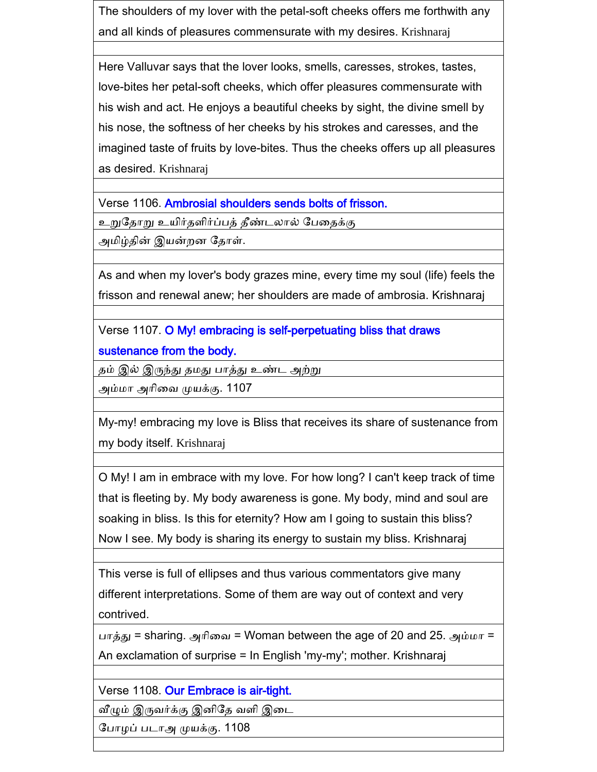The shoulders of my lover with the petal-soft cheeks offers me forthwith any and all kinds of pleasures commensurate with my desires. Krishnaraj

Here Valluvar says that the lover looks, smells, caresses, strokes, tastes, love-bites her petal-soft cheeks, which offer pleasures commensurate with his wish and act. He enjoys a beautiful cheeks by sight, the divine smell by his nose, the softness of her cheeks by his strokes and caresses, and the imagined taste of fruits by love-bites. Thus the cheeks offers up all pleasures as desired. Krishnaraj

Verse 1106. Ambrosial shoulders sends bolts of frisson.

உறுகதாறு உயிர்தளிர்ப்பத் தீண்டலால் கபனதக்கு

அமிழ்தின் இயன்ைை கதாள்.

As and when my lover's body grazes mine, every time my soul (life) feels the frisson and renewal anew; her shoulders are made of ambrosia. Krishnaraj

Verse 1107. O My! embracing is self-perpetuating bliss that draws sustenance from the body.

தம் இல் இருந்து தமது பாத்து உண்ட அற்று

அம்மா அாினவ முயக்கு. 1107

My-my! embracing my love is Bliss that receives its share of sustenance from my body itself. Krishnaraj

O My! I am in embrace with my love. For how long? I can't keep track of time that is fleeting by. My body awareness is gone. My body, mind and soul are soaking in bliss. Is this for eternity? How am I going to sustain this bliss? Now I see. My body is sharing its energy to sustain my bliss. Krishnaraj

This verse is full of ellipses and thus various commentators give many different interpretations. Some of them are way out of context and very contrived.

பாத்து = sharing. அரிவை = Woman between the age of 20 and 25. அம்மா = An exclamation of surprise = In English 'my-my'; mother. Krishnaraj

Verse 1108. Our Embrace is air-tight.

வீழும் இருவர்க்கு இனிதே வளி இடை

கபாைப் படாஅ முயக்கு. 1108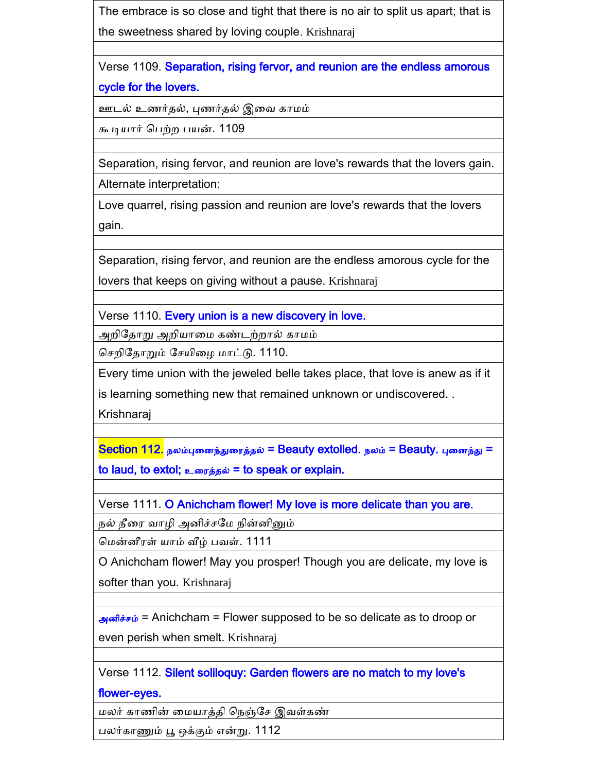The embrace is so close and tight that there is no air to split us apart; that is the sweetness shared by loving couple. Krishnaraj

Verse 1109. Separation, rising fervor, and reunion are the endless amorous cycle for the lovers.

ஊடல் உணர்தல், புணர்தல் இனவ காமம்

கூடியார் கபற்ை பயன். 1109

Separation, rising fervor, and reunion are love's rewards that the lovers gain.

Alternate interpretation:

Love quarrel, rising passion and reunion are love's rewards that the lovers gain.

Separation, rising fervor, and reunion are the endless amorous cycle for the lovers that keeps on giving without a pause. Krishnaraj

Verse 1110. Every union is a new discovery in love.

அறிதோறு அறியாமை கண்டற்றால் காமம்

செறிதோறும் சேயிழை மாட்டு. 1110.

Every time union with the jeweled belle takes place, that love is anew as if it is learning something new that remained unknown or undiscovered. .

Krishnaraj

 $S$ ection 112. நலம்புனைந்துரைத்தல் = Beauty extolled. நலம் = Beauty. புனைந்து = to laud, to extol; உரைத்தல் = to speak or explain.

Verse 1111. O Anichcham flower! My love is more delicate than you are.

நல் நீரை வாழி அனிச்சமே நின்னினும்

கமன்ைீரள் யாம் வீழ் பவள். 1111

O Anichcham flower! May you prosper! Though you are delicate, my love is softer than you. Krishnaraj

அனிச்சம் = Anichcham = Flower supposed to be so delicate as to droop or even perish when smelt. Krishnaraj

Verse 1112. Silent soliloquy: Garden flowers are no match to my love's

flower-eyes.

மலர் காணின் னமயாத்தி கநஞ்க இவள்கண்

பலர்காணும் பூ ஒக்கும் என்று. 1112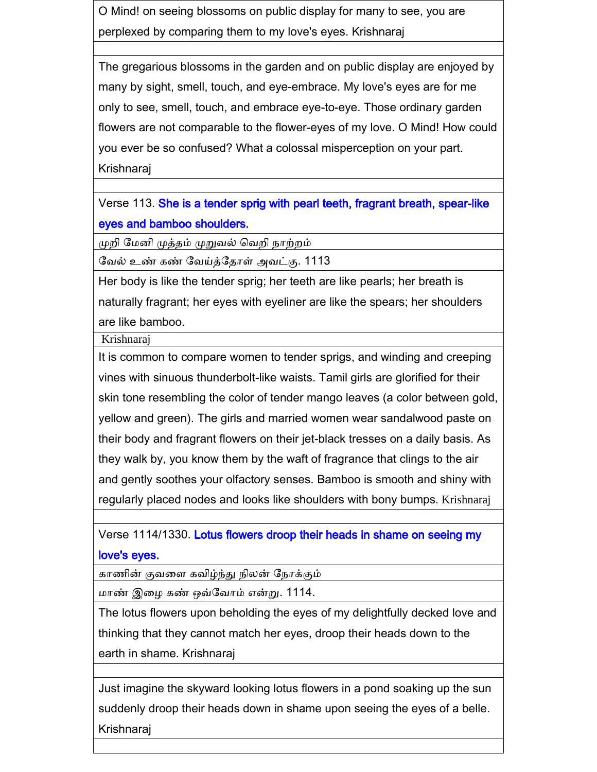O Mind! on seeing blossoms on public display for many to see, you are perplexed by comparing them to my love's eyes. Krishnaraj

The gregarious blossoms in the garden and on public display are enjoyed by many by sight, smell, touch, and eye-embrace. My love's eyes are for me only to see, smell, touch, and embrace eye-to-eye. Those ordinary garden flowers are not comparable to the flower-eyes of my love. O Mind! How could you ever be so confused? What a colossal misperception on your part. Krishnaraj

Verse 113. She is a tender sprig with pearl teeth, fragrant breath, spear-like eyes and bamboo shoulders.

முறி மேனி முத்தம் முறுவல் வெறி நாற்றம்

கவல் உண் கண் கவய்த்கதாள் அவட்கு. 1113

Her body is like the tender sprig; her teeth are like pearls; her breath is naturally fragrant; her eyes with eyeliner are like the spears; her shoulders are like bamboo.

Krishnaraj

It is common to compare women to tender sprigs, and winding and creeping vines with sinuous thunderbolt-like waists. Tamil girls are glorified for their skin tone resembling the color of tender mango leaves (a color between gold, yellow and green). The girls and married women wear sandalwood paste on their body and fragrant flowers on their jet-black tresses on a daily basis. As they walk by, you know them by the waft of fragrance that clings to the air and gently soothes your olfactory senses. Bamboo is smooth and shiny with regularly placed nodes and looks like shoulders with bony bumps. Krishnaraj

Verse 1114/1330. Lotus flowers droop their heads in shame on seeing my love's eyes.

காணின் குவனள கவிழ்ந்து நிலன் கநாக்கும்

மாண் இனை கண் ஒவ்கவாம் என்று. 1114.

The lotus flowers upon beholding the eyes of my delightfully decked love and thinking that they cannot match her eyes, droop their heads down to the earth in shame. Krishnaraj

Just imagine the skyward looking lotus flowers in a pond soaking up the sun suddenly droop their heads down in shame upon seeing the eyes of a belle. Krishnaraj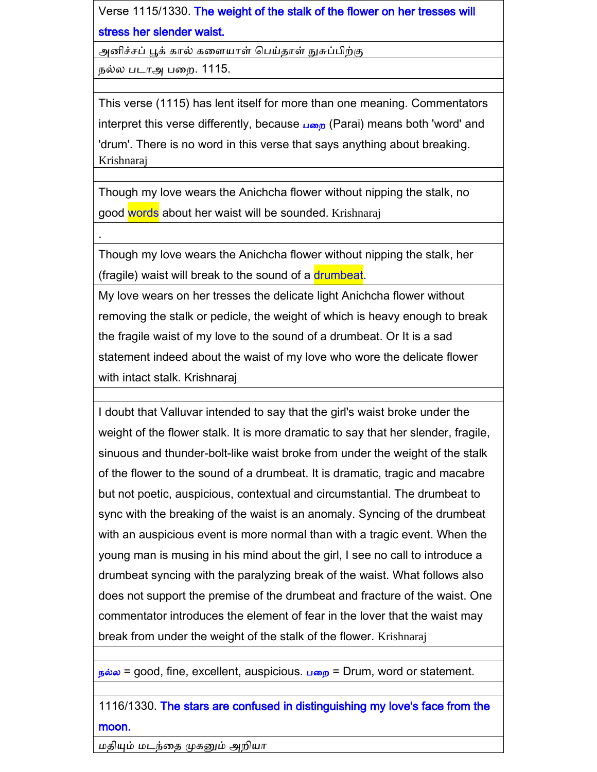Verse 1115/1330. The weight of the stalk of the flower on her tresses will stress her slender waist.

அனிச்சப் பூக் கால் களையாள் பெய்தாள் நுசுப்பிற்கு

நல்ல படாஅ பனை. 1115.

.

This verse (1115) has lent itself for more than one meaning. Commentators interpret this verse differently, because  $\mu_{\omega}$  (Parai) means both 'word' and 'drum'. There is no word in this verse that says anything about breaking. Krishnaraj

Though my love wears the Anichcha flower without nipping the stalk, no good words about her waist will be sounded. Krishnaraj

Though my love wears the Anichcha flower without nipping the stalk, her (fragile) waist will break to the sound of a drumbeat.

My love wears on her tresses the delicate light Anichcha flower without removing the stalk or pedicle, the weight of which is heavy enough to break the fragile waist of my love to the sound of a drumbeat. Or It is a sad statement indeed about the waist of my love who wore the delicate flower with intact stalk. Krishnaraj

I doubt that Valluvar intended to say that the girl's waist broke under the weight of the flower stalk. It is more dramatic to say that her slender, fragile, sinuous and thunder-bolt-like waist broke from under the weight of the stalk of the flower to the sound of a drumbeat. It is dramatic, tragic and macabre but not poetic, auspicious, contextual and circumstantial. The drumbeat to sync with the breaking of the waist is an anomaly. Syncing of the drumbeat with an auspicious event is more normal than with a tragic event. When the young man is musing in his mind about the girl, I see no call to introduce a drumbeat syncing with the paralyzing break of the waist. What follows also does not support the premise of the drumbeat and fracture of the waist. One commentator introduces the element of fear in the lover that the waist may break from under the weight of the stalk of the flower. Krishnaraj

 $_{\text{B}}$ ல்ல = good, fine, excellent, auspicious. பறை = Drum, word or statement.

#### 1116/1330. The stars are confused in distinguishing my love's face from the moon.

மதியும் மடந்னத முகனும் அைியா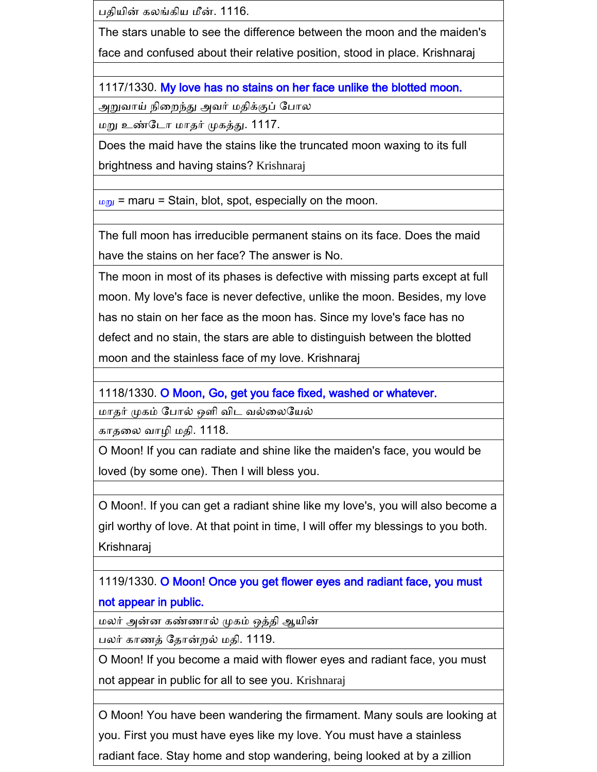பதியின் கலங்கிய மீன். 1116.

The stars unable to see the difference between the moon and the maiden's face and confused about their relative position, stood in place. Krishnaraj

1117/1330. My love has no stains on her face unlike the blotted moon.

அறுவாய் நினைந்து அவர் மதிக்குப் கபால

மறு உண்கடா மாதர் முகத்து. 1117.

Does the maid have the stains like the truncated moon waxing to its full brightness and having stains? Krishnaraj

 $mg<sub>u</sub>$  = maru = Stain, blot, spot, especially on the moon.

The full moon has irreducible permanent stains on its face. Does the maid have the stains on her face? The answer is No.

The moon in most of its phases is defective with missing parts except at full moon. My love's face is never defective, unlike the moon. Besides, my love has no stain on her face as the moon has. Since my love's face has no defect and no stain, the stars are able to distinguish between the blotted moon and the stainless face of my love. Krishnaraj

1118/1330. O Moon, Go, get you face fixed, washed or whatever.

மாதர் முகம் கபால் ஒளி விட வல்னலகயல்

காதலை வாழி மதி. 1118.

O Moon! If you can radiate and shine like the maiden's face, you would be loved (by some one). Then I will bless you.

O Moon!. If you can get a radiant shine like my love's, you will also become a girl worthy of love. At that point in time, I will offer my blessings to you both. Krishnaraj

1119/1330. O Moon! Once you get flower eyes and radiant face, you must not appear in public.

மலர் அன்ை கண்ணால் முகம் ஒத்தி ஆயின்

பலர் காணத் கதான்ைல் மதி. 1119.

O Moon! If you become a maid with flower eyes and radiant face, you must not appear in public for all to see you. Krishnaraj

O Moon! You have been wandering the firmament. Many souls are looking at you. First you must have eyes like my love. You must have a stainless radiant face. Stay home and stop wandering, being looked at by a zillion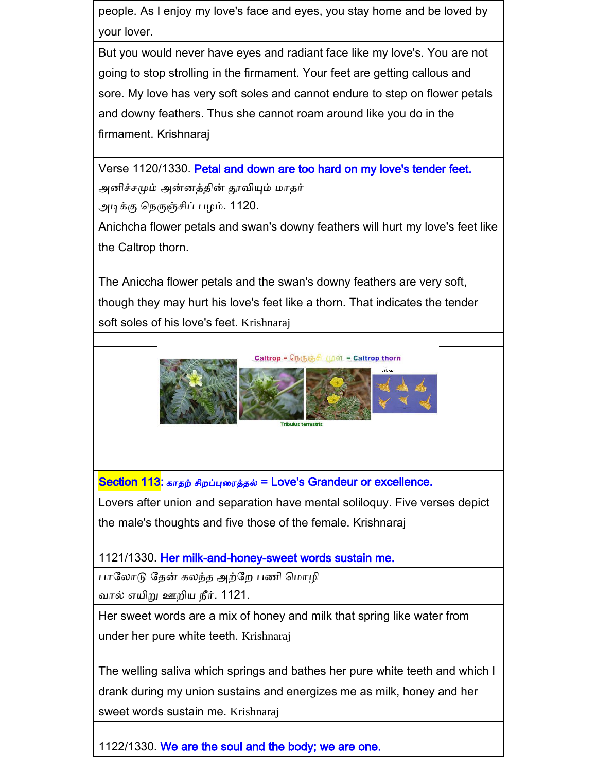people. As I enjoy my love's face and eyes, you stay home and be loved by your lover.

But you would never have eyes and radiant face like my love's. You are not going to stop strolling in the firmament. Your feet are getting callous and sore. My love has very soft soles and cannot endure to step on flower petals and downy feathers. Thus she cannot roam around like you do in the firmament. Krishnaraj

Verse 1120/1330. Petal and down are too hard on my love's tender feet.

அனிச்சமும் அன்னத்தின் தூவியும் மாதர்

அடிக்கு நெருஞ்சிப் பழம். 1120.

Anichcha flower petals and swan's downy feathers will hurt my love's feet like the Caltrop thorn.

The Aniccha flower petals and the swan's downy feathers are very soft, though they may hurt his love's feet like a thorn. That indicates the tender soft soles of his love's feet. Krishnaraj



Section 113: காதற் சிறப்புரைத்தல் = Love's Grandeur or excellence.

Lovers after union and separation have mental soliloquy. Five verses depict the male's thoughts and five those of the female. Krishnaraj

1121/1330. Her milk-and-honey-sweet words sustain me.

பாலோடு தேன் கலந்த அற்றே பணி மொழி

வால் எயிறு ஊைிய நீர். 1121.

Her sweet words are a mix of honey and milk that spring like water from under her pure white teeth. Krishnaraj

The welling saliva which springs and bathes her pure white teeth and which I drank during my union sustains and energizes me as milk, honey and her sweet words sustain me. Krishnaraj

1122/1330. We are the soul and the body; we are one.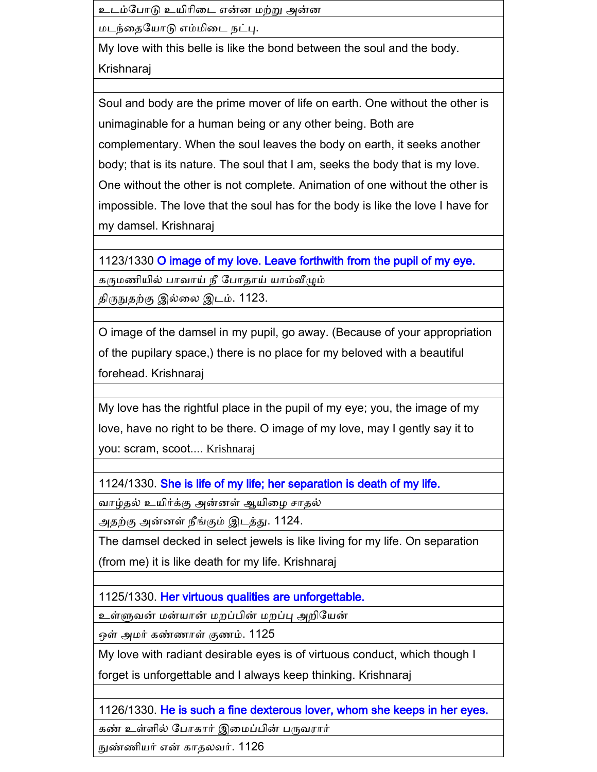உடம்போடு உயிரிடை என்ன மற்று அன்ன

மடந்னதகயாடு எம்மினட நட்பு.

My love with this belle is like the bond between the soul and the body. Krishnaraj

Soul and body are the prime mover of life on earth. One without the other is unimaginable for a human being or any other being. Both are complementary. When the soul leaves the body on earth, it seeks another body; that is its nature. The soul that I am, seeks the body that is my love. One without the other is not complete. Animation of one without the other is impossible. The love that the soul has for the body is like the love I have for my damsel. Krishnaraj

1123/1330 O image of my love. Leave forthwith from the pupil of my eye.

கருமணியில் பாவாய் நீ கபாதாய் யாம்வீழும்

திருநுதற்கு இல்னல இடம். 1123.

O image of the damsel in my pupil, go away. (Because of your appropriation of the pupilary space,) there is no place for my beloved with a beautiful forehead. Krishnaraj

My love has the rightful place in the pupil of my eye; you, the image of my love, have no right to be there. O image of my love, may I gently say it to you: scram, scoot.... Krishnaraj

1124/1330. She is life of my life; her separation is death of my life.

வாழ்தல் உயிர்க்கு அன்னள் ஆயிழை சாதல்

அதற்கு அன்ைள் நீங்கும் இடத்து. 1124.

The damsel decked in select jewels is like living for my life. On separation (from me) it is like death for my life. Krishnaraj

1125/1330. Her virtuous qualities are unforgettable.

உள்ளுவன் மன்யான் மைப்பின் மைப்பு அைிகயன்

ஒள் அமர் கண்ணாள் குணம். 1125

My love with radiant desirable eyes is of virtuous conduct, which though I

forget is unforgettable and I always keep thinking. Krishnaraj

1126/1330. He is such a fine dexterous lover, whom she keeps in her eyes.

கண் உள்ளில் கபாகார் இனமப்பின் பருவரார்

நுண்ணியர் என் காதலவர். 1126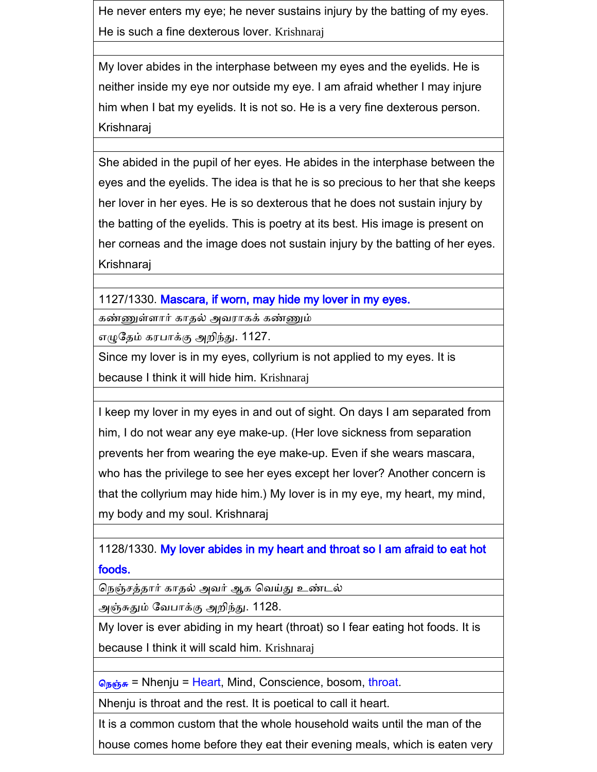He never enters my eye; he never sustains injury by the batting of my eyes. He is such a fine dexterous lover. Krishnaraj

My lover abides in the interphase between my eyes and the eyelids. He is neither inside my eye nor outside my eye. I am afraid whether I may injure him when I bat my eyelids. It is not so. He is a very fine dexterous person. Krishnaraj

She abided in the pupil of her eyes. He abides in the interphase between the eyes and the eyelids. The idea is that he is so precious to her that she keeps her lover in her eyes. He is so dexterous that he does not sustain injury by the batting of the eyelids. This is poetry at its best. His image is present on her corneas and the image does not sustain injury by the batting of her eyes. Krishnaraj

1127/1330. Mascara, if worn, may hide my lover in my eyes.

கண்ணுள்ளார் காதல் அவராகக் கண்ணும்

எழுகதம் கரபாக்கு அைிந்து. 1127.

Since my lover is in my eyes, collyrium is not applied to my eyes. It is because I think it will hide him. Krishnaraj

I keep my lover in my eyes in and out of sight. On days I am separated from him, I do not wear any eye make-up. (Her love sickness from separation prevents her from wearing the eye make-up. Even if she wears mascara, who has the privilege to see her eyes except her lover? Another concern is that the collyrium may hide him.) My lover is in my eye, my heart, my mind, my body and my soul. Krishnaraj

1128/1330. My lover abides in my heart and throat so I am afraid to eat hot foods.

கநஞ் த்தார் காதல் அவர் ஆக கவய்து உண்டல்

அஞ்சுதும் கவபாக்கு அைிந்து. 1128.

My lover is ever abiding in my heart (throat) so I fear eating hot foods. It is because I think it will scald him. Krishnaraj

தெஞ்சு = Nhenju = Heart, Mind, Conscience, bosom, throat.

Nhenju is throat and the rest. It is poetical to call it heart.

It is a common custom that the whole household waits until the man of the

house comes home before they eat their evening meals, which is eaten very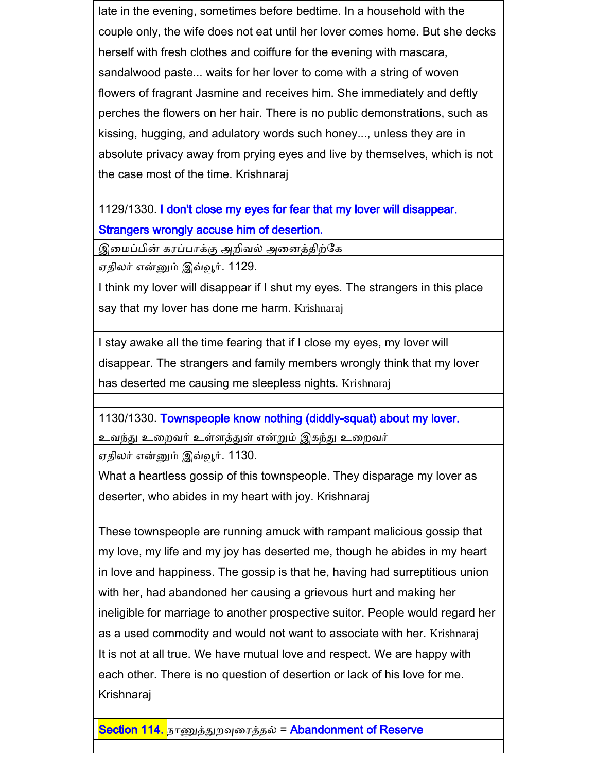late in the evening, sometimes before bedtime. In a household with the couple only, the wife does not eat until her lover comes home. But she decks herself with fresh clothes and coiffure for the evening with mascara, sandalwood paste... waits for her lover to come with a string of woven flowers of fragrant Jasmine and receives him. She immediately and deftly perches the flowers on her hair. There is no public demonstrations, such as kissing, hugging, and adulatory words such honey..., unless they are in absolute privacy away from prying eyes and live by themselves, which is not the case most of the time. Krishnaraj

1129/1330. I don't close my eyes for fear that my lover will disappear. Strangers wrongly accuse him of desertion.

இமைப்பின் கரப்பாக்கு அறிவல் அனைத்திற்கே

ஏதிலர் என்னும் இவ்வூர். 1129.

I think my lover will disappear if I shut my eyes. The strangers in this place say that my lover has done me harm. Krishnaraj

I stay awake all the time fearing that if I close my eyes, my lover will disappear. The strangers and family members wrongly think that my lover has deserted me causing me sleepless nights. Krishnaraj

1130/1330. Townspeople know nothing (diddly-squat) about my lover.

உவந்து உனைவர் உள்ளத்துள் என்றும் இகந்து உனைவர்

ஏதிலர் என்னும் இவ்வூர். 1130.

What a heartless gossip of this townspeople. They disparage my lover as deserter, who abides in my heart with joy. Krishnaraj

These townspeople are running amuck with rampant malicious gossip that my love, my life and my joy has deserted me, though he abides in my heart in love and happiness. The gossip is that he, having had surreptitious union with her, had abandoned her causing a grievous hurt and making her ineligible for marriage to another prospective suitor. People would regard her as a used commodity and would not want to associate with her. Krishnaraj It is not at all true. We have mutual love and respect. We are happy with each other. There is no question of desertion or lack of his love for me. Krishnaraj

Section 114. நாணுத்துைவுனரத்தல் = Abandonment of Reserve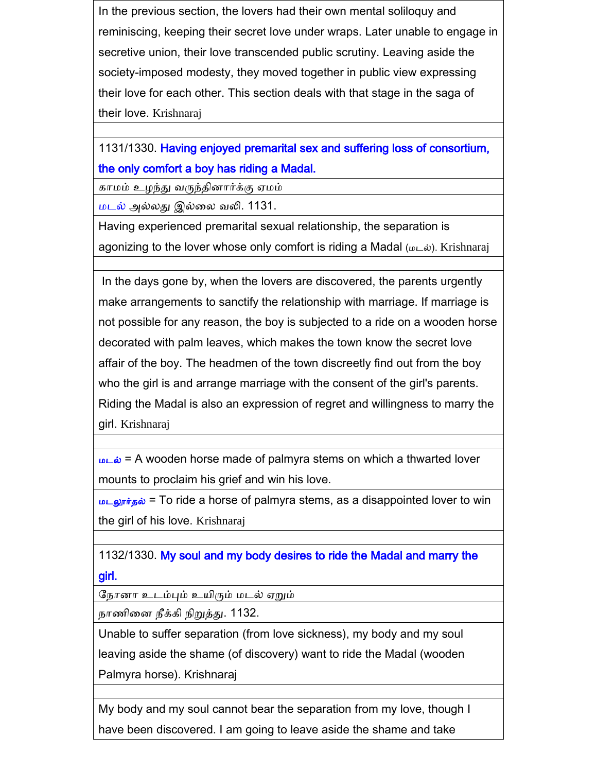In the previous section, the lovers had their own mental soliloquy and reminiscing, keeping their secret love under wraps. Later unable to engage in secretive union, their love transcended public scrutiny. Leaving aside the society-imposed modesty, they moved together in public view expressing their love for each other. This section deals with that stage in the saga of their love. Krishnaraj

1131/1330. Having enjoyed premarital sex and suffering loss of consortium, the only comfort a boy has riding a Madal.

காமம் உழந்து வருந்தினார்க்கு ஏமம்

மடல் அல்லது இல்னல வலி. 1131.

Having experienced premarital sexual relationship, the separation is agonizing to the lover whose only comfort is riding a Madal ( $\omega \in \tilde{\omega}$ ). Krishnaraj

In the days gone by, when the lovers are discovered, the parents urgently make arrangements to sanctify the relationship with marriage. If marriage is not possible for any reason, the boy is subjected to a ride on a wooden horse decorated with palm leaves, which makes the town know the secret love affair of the boy. The headmen of the town discreetly find out from the boy who the girl is and arrange marriage with the consent of the girl's parents. Riding the Madal is also an expression of regret and willingness to marry the girl. Krishnaraj

 $\underline{\mathbf{w}}$  = A wooden horse made of palmyra stems on which a thwarted lover mounts to proclaim his grief and win his love.

 $u_{\text{L}}$ லூர்தல் = To ride a horse of palmyra stems, as a disappointed lover to win the girl of his love. Krishnaraj

1132/1330. My soul and my body desires to ride the Madal and marry the girl.

கநாைா உடம்பும் உயிரும் மடல் ஏறும்

நாணினை நீக்கி நிறுத்து. 1132.

Unable to suffer separation (from love sickness), my body and my soul leaving aside the shame (of discovery) want to ride the Madal (wooden Palmyra horse). Krishnaraj

My body and my soul cannot bear the separation from my love, though I have been discovered. I am going to leave aside the shame and take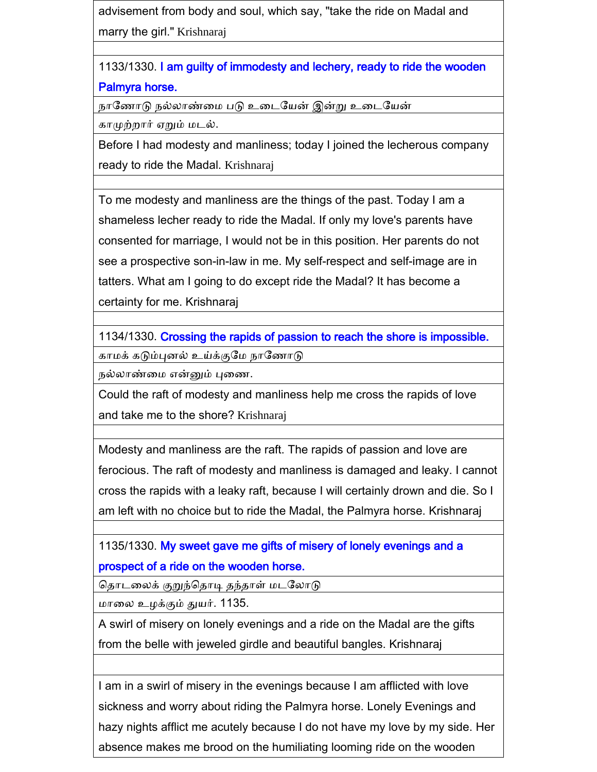advisement from body and soul, which say, "take the ride on Madal and marry the girl." Krishnaraj

1133/1330. I am guilty of immodesty and lechery, ready to ride the wooden Palmyra horse.

நாகணாடு நல்லாண்னம படு உனடகயன் இன்று உனடகயன்

காமுற்ைார் ஏறும் மடல்.

Before I had modesty and manliness; today I joined the lecherous company ready to ride the Madal. Krishnaraj

To me modesty and manliness are the things of the past. Today I am a shameless lecher ready to ride the Madal. If only my love's parents have consented for marriage, I would not be in this position. Her parents do not see a prospective son-in-law in me. My self-respect and self-image are in tatters. What am I going to do except ride the Madal? It has become a certainty for me. Krishnaraj

1134/1330. Crossing the rapids of passion to reach the shore is impossible.

காமக் கடும்புனல் உய்க்குமே நாணோடு

நல்லாண்னம என்னும் புனண.

Could the raft of modesty and manliness help me cross the rapids of love and take me to the shore? Krishnaraj

Modesty and manliness are the raft. The rapids of passion and love are ferocious. The raft of modesty and manliness is damaged and leaky. I cannot cross the rapids with a leaky raft, because I will certainly drown and die. So I am left with no choice but to ride the Madal, the Palmyra horse. Krishnaraj

1135/1330. My sweet gave me gifts of misery of lonely evenings and a prospect of a ride on the wooden horse.

தொடலைக் குறுந்தொடி தந்தாள் மடலோடு

மானல உைக்கும் துயர். 1135.

A swirl of misery on lonely evenings and a ride on the Madal are the gifts from the belle with jeweled girdle and beautiful bangles. Krishnaraj

I am in a swirl of misery in the evenings because I am afflicted with love sickness and worry about riding the Palmyra horse. Lonely Evenings and hazy nights afflict me acutely because I do not have my love by my side. Her absence makes me brood on the humiliating looming ride on the wooden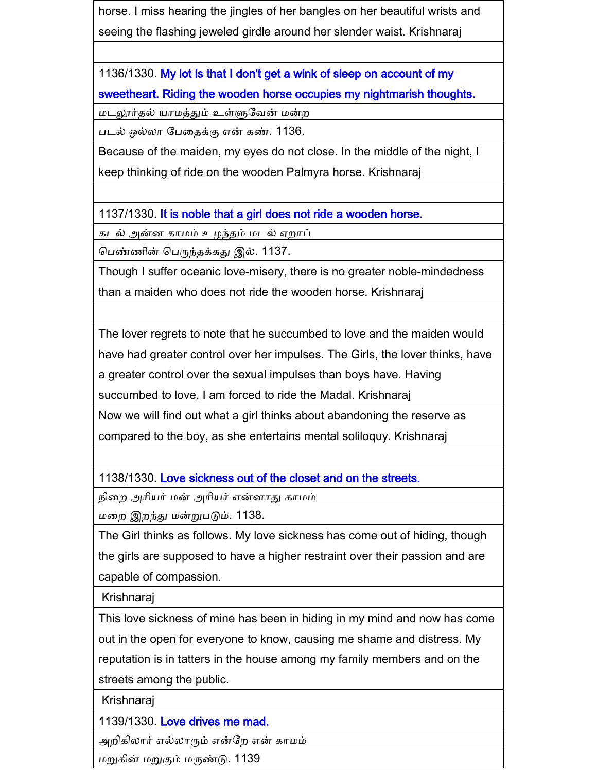horse. I miss hearing the jingles of her bangles on her beautiful wrists and seeing the flashing jeweled girdle around her slender waist. Krishnaraj

1136/1330. My lot is that I don't get a wink of sleep on account of my sweetheart. Riding the wooden horse occupies my nightmarish thoughts.

மடலூர்தல் யாமத்தும் உள்ளுவேன் மன்ற

படல் ஒல்லா கபனதக்கு என் கண். 1136.

Because of the maiden, my eyes do not close. In the middle of the night, I keep thinking of ride on the wooden Palmyra horse. Krishnaraj

1137/1330. It is noble that a girl does not ride a wooden horse.

கடல் அன்ை காமம் உைந்தம் மடல் ஏைாப்

கபண்ணின் கபருந்தக்கது இல். 1137.

Though I suffer oceanic love-misery, there is no greater noble-mindedness than a maiden who does not ride the wooden horse. Krishnaraj

The lover regrets to note that he succumbed to love and the maiden would have had greater control over her impulses. The Girls, the lover thinks, have a greater control over the sexual impulses than boys have. Having

succumbed to love, I am forced to ride the Madal. Krishnaraj

Now we will find out what a girl thinks about abandoning the reserve as compared to the boy, as she entertains mental soliloquy. Krishnaraj

1138/1330. Love sickness out of the closet and on the streets.

நினை அாியர் மன் அாியர் என்ைாது காமம்

மனை இைந்து மன்றுபடும். 1138.

The Girl thinks as follows. My love sickness has come out of hiding, though the girls are supposed to have a higher restraint over their passion and are capable of compassion.

Krishnaraj

This love sickness of mine has been in hiding in my mind and now has come out in the open for everyone to know, causing me shame and distress. My reputation is in tatters in the house among my family members and on the streets among the public.

Krishnaraj

1139/1330. Love drives me mad.

அறிகிலார் எல்லாரும் என்றே என் காமம்

மறுகின் மறுகும் மருண்டு. 1139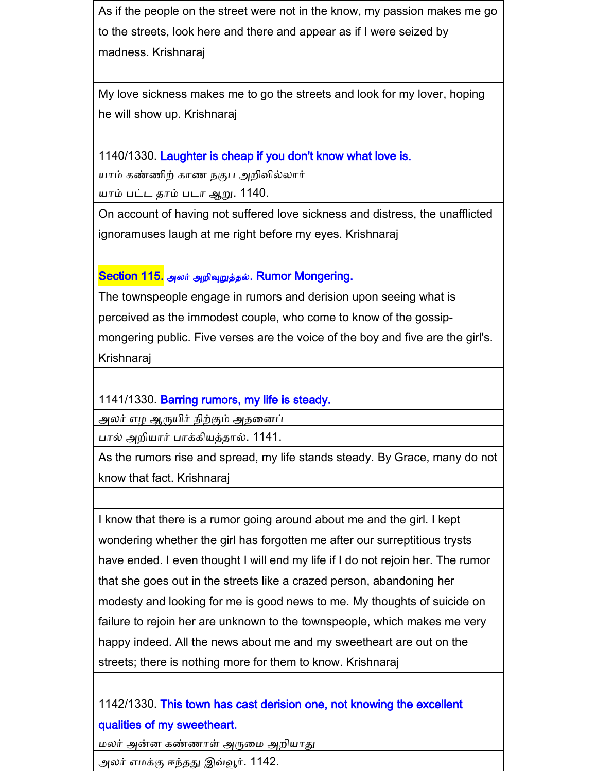As if the people on the street were not in the know, my passion makes me go to the streets, look here and there and appear as if I were seized by madness. Krishnaraj

My love sickness makes me to go the streets and look for my lover, hoping he will show up. Krishnaraj

1140/1330. Laughter is cheap if you don't know what love is.

யாம் கண்ணிற் காண நகுப அறிவில்லார்

யாம் பட்ட தாம் படா ஆறு. 1140.

On account of having not suffered love sickness and distress, the unafflicted ignoramuses laugh at me right before my eyes. Krishnaraj

Section 115. அலர் அறிவுறுத்தல். Rumor Mongering.

The townspeople engage in rumors and derision upon seeing what is

perceived as the immodest couple, who come to know of the gossip-

mongering public. Five verses are the voice of the boy and five are the girl's. Krishnaraj

1141/1330. Barring rumors, my life is steady.

அலர் எை ஆருயிர் நிற்கும் அதனைப்

பால் அைியார் பாக்கியத்தால். 1141.

As the rumors rise and spread, my life stands steady. By Grace, many do not know that fact. Krishnaraj

I know that there is a rumor going around about me and the girl. I kept wondering whether the girl has forgotten me after our surreptitious trysts have ended. I even thought I will end my life if I do not rejoin her. The rumor that she goes out in the streets like a crazed person, abandoning her modesty and looking for me is good news to me. My thoughts of suicide on failure to rejoin her are unknown to the townspeople, which makes me very happy indeed. All the news about me and my sweetheart are out on the streets; there is nothing more for them to know. Krishnaraj

### 1142/1330. This town has cast derision one, not knowing the excellent qualities of my sweetheart.

மலர் அன்ை கண்ணாள் அருனம அைியாது

அலர் எமக்கு ஈந்தது இவ்வூர். 1142.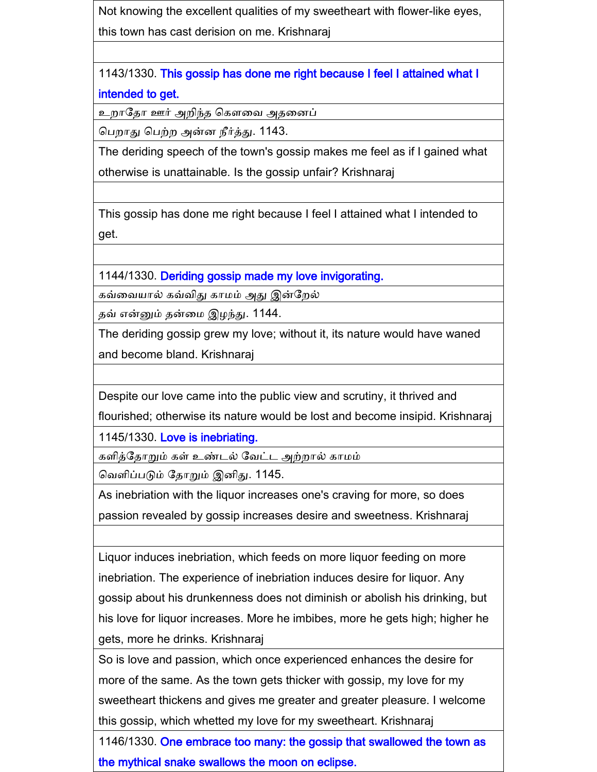Not knowing the excellent qualities of my sweetheart with flower-like eyes,

this town has cast derision on me. Krishnaraj

1143/1330. This gossip has done me right because I feel I attained what I intended to get.

உறாதோ ஊர் அறிந்த கௌவை அதனைப்

கபைாது கபற்ை அன்ை நீர்த்து. 1143.

The deriding speech of the town's gossip makes me feel as if I gained what otherwise is unattainable. Is the gossip unfair? Krishnaraj

This gossip has done me right because I feel I attained what I intended to get.

1144/1330. Deriding gossip made my love invigorating.

கவ்வையால் கவ்விது காமம் அது இன்றேல்

தவ் என்னும் தன்னம இைந்து. 1144.

The deriding gossip grew my love; without it, its nature would have waned and become bland. Krishnaraj

Despite our love came into the public view and scrutiny, it thrived and

flourished; otherwise its nature would be lost and become insipid. Krishnaraj

1145/1330. Love is inebriating.

களித்கதாறும் கள் உண்டல் கவட்ட அற்ைால் காமம்

கவளிப்படும் கதாறும் இைிது. 1145.

As inebriation with the liquor increases one's craving for more, so does passion revealed by gossip increases desire and sweetness. Krishnaraj

Liquor induces inebriation, which feeds on more liquor feeding on more inebriation. The experience of inebriation induces desire for liquor. Any gossip about his drunkenness does not diminish or abolish his drinking, but his love for liquor increases. More he imbibes, more he gets high; higher he gets, more he drinks. Krishnaraj

So is love and passion, which once experienced enhances the desire for more of the same. As the town gets thicker with gossip, my love for my sweetheart thickens and gives me greater and greater pleasure. I welcome this gossip, which whetted my love for my sweetheart. Krishnaraj

1146/1330. One embrace too many: the gossip that swallowed the town as the mythical snake swallows the moon on eclipse.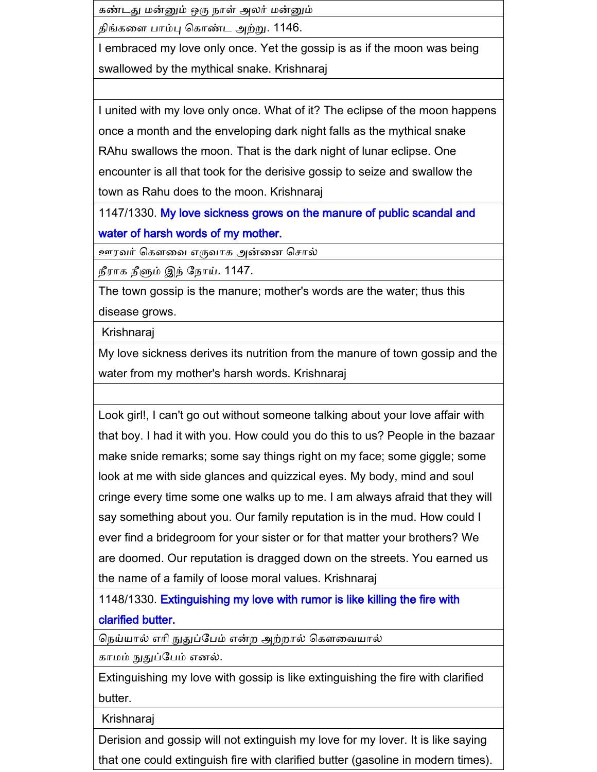கண்டது மன்னும் ஒரு நாள் அலர் மன்னும்

திங்கனள பாம்பு ககாண்ட அற்று. 1146.

I embraced my love only once. Yet the gossip is as if the moon was being swallowed by the mythical snake. Krishnaraj

I united with my love only once. What of it? The eclipse of the moon happens once a month and the enveloping dark night falls as the mythical snake RAhu swallows the moon. That is the dark night of lunar eclipse. One encounter is all that took for the derisive gossip to seize and swallow the town as Rahu does to the moon. Krishnaraj

1147/1330. My love sickness grows on the manure of public scandal and water of harsh words of my mother.

ஊரவர் கௌவை எருவாக அன்னை சொல்

நீராக நீளும் இந் கநாய். 1147.

The town gossip is the manure; mother's words are the water; thus this disease grows.

Krishnaraj

My love sickness derives its nutrition from the manure of town gossip and the water from my mother's harsh words. Krishnaraj

Look girl!, I can't go out without someone talking about your love affair with that boy. I had it with you. How could you do this to us? People in the bazaar make snide remarks; some say things right on my face; some giggle; some look at me with side glances and quizzical eyes. My body, mind and soul cringe every time some one walks up to me. I am always afraid that they will say something about you. Our family reputation is in the mud. How could I ever find a bridegroom for your sister or for that matter your brothers? We are doomed. Our reputation is dragged down on the streets. You earned us the name of a family of loose moral values. Krishnaraj

1148/1330. Extinguishing my love with rumor is like killing the fire with clarified butter.

நெய்யால் எரி நுதுப்பேம் என்ற அற்றால் கௌவையால்

காமம் நுதுப்கபம் எைல்.

Extinguishing my love with gossip is like extinguishing the fire with clarified butter.

Krishnaraj

Derision and gossip will not extinguish my love for my lover. It is like saying that one could extinguish fire with clarified butter (gasoline in modern times).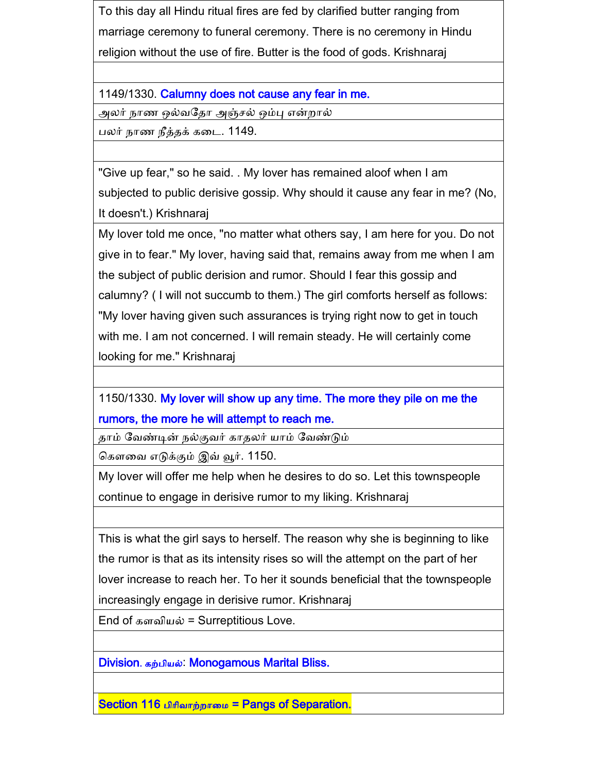To this day all Hindu ritual fires are fed by clarified butter ranging from marriage ceremony to funeral ceremony. There is no ceremony in Hindu religion without the use of fire. Butter is the food of gods. Krishnaraj

1149/1330. Calumny does not cause any fear in me.

அலர் நாண ஒல்வதோ அஞ்சல் ஒம்பு என்றால்

பலர் நாண நீத்தக் கனட. 1149.

"Give up fear," so he said. . My lover has remained aloof when I am subjected to public derisive gossip. Why should it cause any fear in me? (No, It doesn't.) Krishnaraj

My lover told me once, "no matter what others say, I am here for you. Do not give in to fear." My lover, having said that, remains away from me when I am the subject of public derision and rumor. Should I fear this gossip and calumny? ( I will not succumb to them.) The girl comforts herself as follows: "My lover having given such assurances is trying right now to get in touch with me. I am not concerned. I will remain steady. He will certainly come looking for me." Krishnaraj

1150/1330. My lover will show up any time. The more they pile on me the rumors, the more he will attempt to reach me.

தாம் கவண்டின் நல்குவர் காதலர் யாம் கவண்டும்

ககளனவ எடுக்கும் இவ் வூர். 1150.

My lover will offer me help when he desires to do so. Let this townspeople continue to engage in derisive rumor to my liking. Krishnaraj

This is what the girl says to herself. The reason why she is beginning to like the rumor is that as its intensity rises so will the attempt on the part of her lover increase to reach her. To her it sounds beneficial that the townspeople increasingly engage in derisive rumor. Krishnaraj

End of களவியல் = Surreptitious Love.

Division. கற்பியல்: Monogamous Marital Bliss.

Section 116 பிரிவாற்றாமை = Pangs of Separation.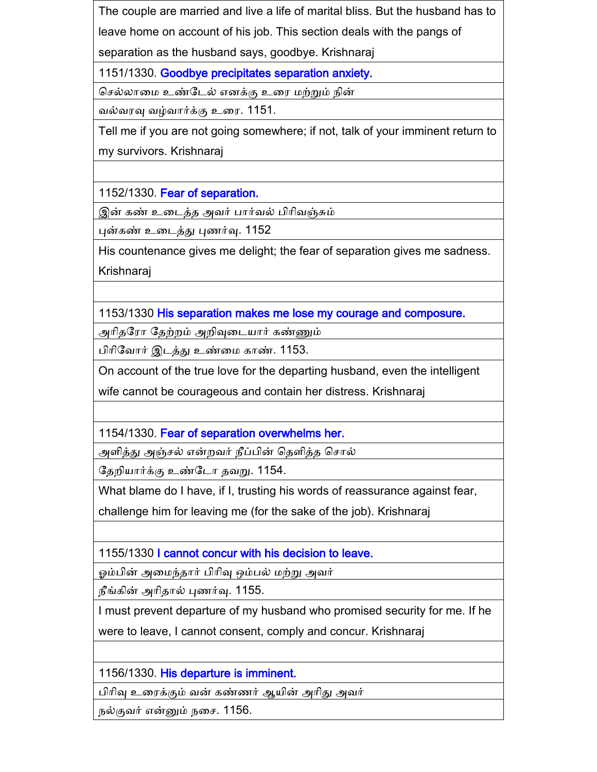The couple are married and live a life of marital bliss. But the husband has to leave home on account of his job. This section deals with the pangs of

separation as the husband says, goodbye. Krishnaraj

1151/1330. Goodbye precipitates separation anxiety.

க ல்லானம உண்கடல் எைக்கு உனர மற்றும் நின்

வல்வரவு வழ்வார்க்கு உனர. 1151.

Tell me if you are not going somewhere; if not, talk of your imminent return to my survivors. Krishnaraj

1152/1330. Fear of separation.

இன் கண் உனடத்த அவர் பார்வல் பிாிவஞ்சும்

புன்கண் உனடத்து புணர்வு. 1152

His countenance gives me delight; the fear of separation gives me sadness. Krishnaraj

1153/1330 His separation makes me lose my courage and composure.

அரிதரோ தேற்றம் அறிவுடையார் கண்ணும்

பிாிகவார் இடத்து உண்னம காண். 1153.

On account of the true love for the departing husband, even the intelligent

wife cannot be courageous and contain her distress. Krishnaraj

1154/1330. Fear of separation overwhelms her.

அளித்து அஞ்சல் என்றவர் நீப்பின் தெளித்த சொல்

தேறியார்க்கு உண்டோ தவறு. 1154.

What blame do I have, if I, trusting his words of reassurance against fear,

challenge him for leaving me (for the sake of the job). Krishnaraj

1155/1330 I cannot concur with his decision to leave.

ஓம்பின் அனமந்தார் பிாிவு ஒம்பல் மற்று அவர்

நீங்கின் அாிதால் புணர்வு. 1155.

I must prevent departure of my husband who promised security for me. If he were to leave, I cannot consent, comply and concur. Krishnaraj

1156/1330. His departure is imminent.

பிாிவு உனரக்கும் வன் கண்ணர் ஆயின் அாிது அவர்

நல்குவர் என்னும் நசை. 1156.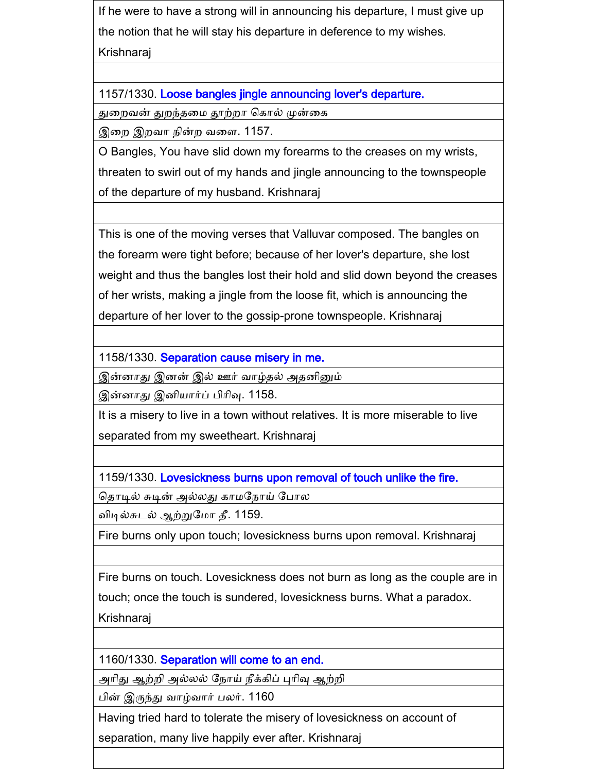If he were to have a strong will in announcing his departure, I must give up the notion that he will stay his departure in deference to my wishes. Krishnaraj

1157/1330. Loose bangles jingle announcing lover's departure.

துறைவன் துறந்தமை தூற்றா கொல் முன்கை

இறை இறவா நின்ற வளை. 1157.

O Bangles, You have slid down my forearms to the creases on my wrists, threaten to swirl out of my hands and jingle announcing to the townspeople of the departure of my husband. Krishnaraj

This is one of the moving verses that Valluvar composed. The bangles on the forearm were tight before; because of her lover's departure, she lost weight and thus the bangles lost their hold and slid down beyond the creases of her wrists, making a jingle from the loose fit, which is announcing the departure of her lover to the gossip-prone townspeople. Krishnaraj

1158/1330. Separation cause misery in me.

இன்னாது இனன் இல் ஊர் வாழ்தல் அதனினும்

இன்னாது இனியார்ப் பிரிவு. 1158.

It is a misery to live in a town without relatives. It is more miserable to live separated from my sweetheart. Krishnaraj

1159/1330. Lovesickness burns upon removal of touch unlike the fire.

தொடில் சுடின் அல்லது காமநோய் போல

விடில்சுடல் ஆற்றுகமா தீ. 1159.

Fire burns only upon touch; lovesickness burns upon removal. Krishnaraj

Fire burns on touch. Lovesickness does not burn as long as the couple are in touch; once the touch is sundered, lovesickness burns. What a paradox.

Krishnaraj

1160/1330. Separation will come to an end.

அரிது ஆற்றி அல்லல் நோய் நீக்கிப் புரிவு ஆற்றி

பின் இருந்து வாழ்வார் பலர். 1160

Having tried hard to tolerate the misery of lovesickness on account of

separation, many live happily ever after. Krishnaraj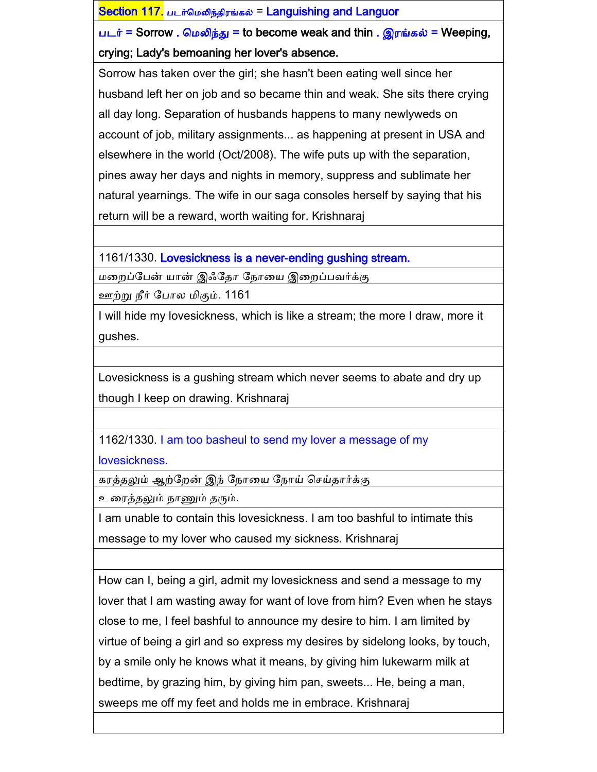Section 117. படர்கமலிந்திரங்கல் = Languishing and Languor படர் = Sorrow . மெலிந்து = to become weak and thin . இரங்கல் = Weeping, crying; Lady's bemoaning her lover's absence. Sorrow has taken over the girl; she hasn't been eating well since her husband left her on job and so became thin and weak. She sits there crying all day long. Separation of husbands happens to many newlyweds on account of job, military assignments... as happening at present in USA and elsewhere in the world (Oct/2008). The wife puts up with the separation, pines away her days and nights in memory, suppress and sublimate her natural yearnings. The wife in our saga consoles herself by saying that his return will be a reward, worth waiting for. Krishnaraj

1161/1330. Lovesickness is a never-ending gushing stream.

மனைப்கபன் யான் இஃகதா கநானய இனைப்பவர்க்கு

ஊற்று நீர் கபால மிகும். 1161

I will hide my lovesickness, which is like a stream; the more I draw, more it gushes.

Lovesickness is a gushing stream which never seems to abate and dry up though I keep on drawing. Krishnaraj

1162/1330. I am too basheul to send my lover a message of my lovesickness.

கரத்தலும் ஆற்றேன் இந் நோயை நோய் செய்தார்க்கு

உனரத்தலும் நாணும் தரும்.

I am unable to contain this lovesickness. I am too bashful to intimate this message to my lover who caused my sickness. Krishnaraj

How can I, being a girl, admit my lovesickness and send a message to my lover that I am wasting away for want of love from him? Even when he stays close to me, I feel bashful to announce my desire to him. I am limited by virtue of being a girl and so express my desires by sidelong looks, by touch, by a smile only he knows what it means, by giving him lukewarm milk at bedtime, by grazing him, by giving him pan, sweets... He, being a man, sweeps me off my feet and holds me in embrace. Krishnaraj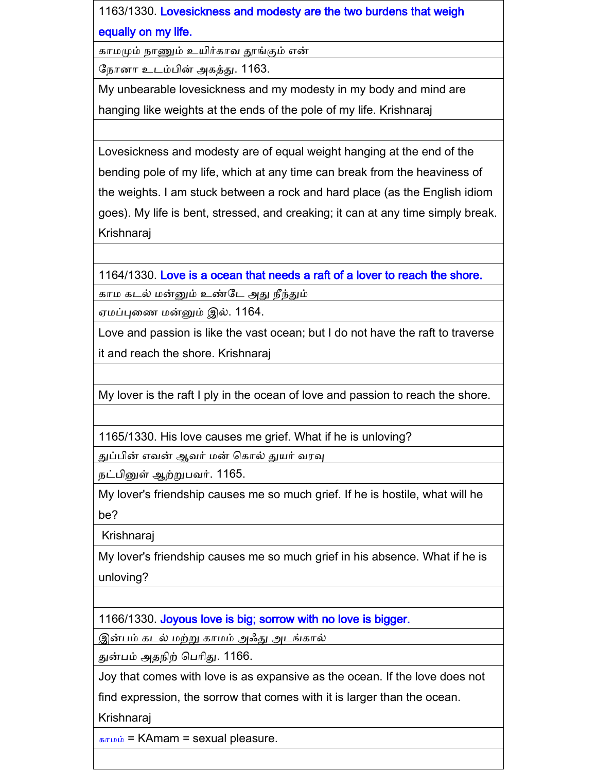1163/1330. Lovesickness and modesty are the two burdens that weigh equally on my life.

காமமும் நாணும் உயிர்காவ தூங்கும் என்

கநாைா உடம்பின் அகத்து. 1163.

My unbearable lovesickness and my modesty in my body and mind are hanging like weights at the ends of the pole of my life. Krishnaraj

Lovesickness and modesty are of equal weight hanging at the end of the bending pole of my life, which at any time can break from the heaviness of the weights. I am stuck between a rock and hard place (as the English idiom goes). My life is bent, stressed, and creaking; it can at any time simply break. Krishnaraj

1164/1330. Love is a ocean that needs a raft of a lover to reach the shore.

காம கடல் மன்னும் உண்கட அது நீந்தும்

ஏமப்புனண மன்னும் இல். 1164.

Love and passion is like the vast ocean; but I do not have the raft to traverse it and reach the shore. Krishnaraj

My lover is the raft I ply in the ocean of love and passion to reach the shore.

1165/1330. His love causes me grief. What if he is unloving?

துப்பின் எவன் ஆவர் மன் ககால் துயர் வரவு

நட்பினுள் ஆற்றுபவர். 1165.

My lover's friendship causes me so much grief. If he is hostile, what will he be?

Krishnaraj

My lover's friendship causes me so much grief in his absence. What if he is unloving?

1166/1330. Joyous love is big; sorrow with no love is bigger.

இன்பம் கடல் மற்று காமம் அஃது அடங்கால்

துன்பம் அதநிற் கபாிது. 1166.

Joy that comes with love is as expansive as the ocean. If the love does not

find expression, the sorrow that comes with it is larger than the ocean.

Krishnaraj

 $s_{\text{tr}}$ <sub> $\omega$ </sub> = KAmam = sexual pleasure.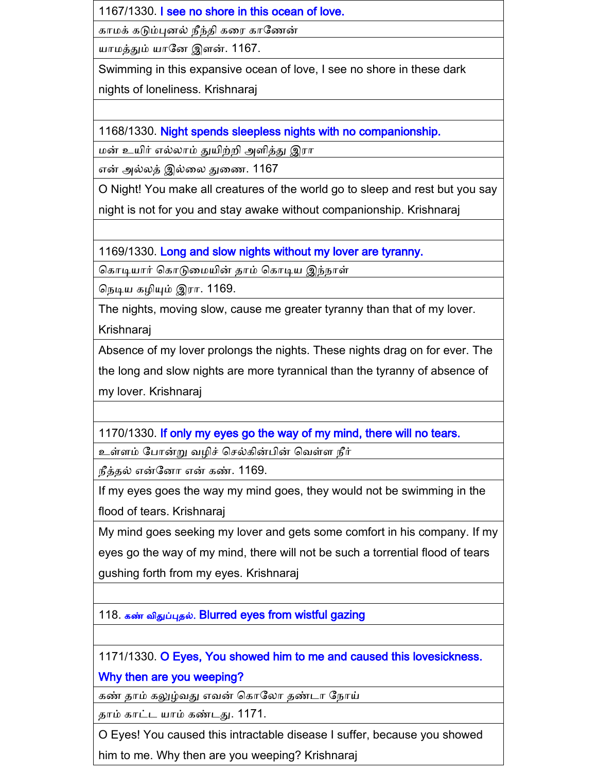1167/1330. I see no shore in this ocean of love.

காமக் கடும்புைல் நீந்தி கனர காகணன்

யாமத்தும் யாகை இளன். 1167.

Swimming in this expansive ocean of love, I see no shore in these dark nights of loneliness. Krishnaraj

1168/1330. Night spends sleepless nights with no companionship.

மன் உயிர் எல்லாம் துயிற்ைி அளித்து இரா

என் அல்லத் இல்னல துனண. 1167

O Night! You make all creatures of the world go to sleep and rest but you say night is not for you and stay awake without companionship. Krishnaraj

1169/1330. Long and slow nights without my lover are tyranny.

கொடியார் கொடுமையின் தாம் கொடிய இந்நாள்

கநடிய கைியும் இரா. 1169.

The nights, moving slow, cause me greater tyranny than that of my lover.

Krishnaraj

Absence of my lover prolongs the nights. These nights drag on for ever. The the long and slow nights are more tyrannical than the tyranny of absence of my lover. Krishnaraj

1170/1330. If only my eyes go the way of my mind, there will no tears.

உள்ளம் போன்று வழிச் செல்கின்பின் வெள்ள நீர்

நீத்தல் என்கைா என் கண். 1169.

If my eyes goes the way my mind goes, they would not be swimming in the flood of tears. Krishnaraj

My mind goes seeking my lover and gets some comfort in his company. If my eyes go the way of my mind, there will not be such a torrential flood of tears gushing forth from my eyes. Krishnaraj

118. கண் விதுப்புதல். Blurred eyes from wistful gazing

1171/1330. O Eyes, You showed him to me and caused this lovesickness.

Why then are you weeping?

கண் தாம் கலுழ்வது எவன் ககாகலா தண்டா கநாய்

தாம் காட்ட யாம் கண்டது. 1171.

O Eyes! You caused this intractable disease I suffer, because you showed

him to me. Why then are you weeping? Krishnaraj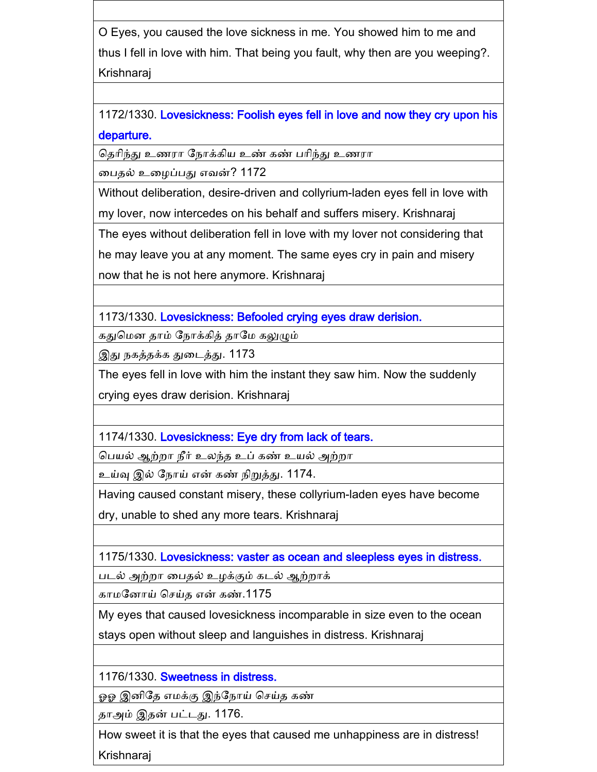O Eyes, you caused the love sickness in me. You showed him to me and thus I fell in love with him. That being you fault, why then are you weeping?. Krishnaraj

1172/1330. Lovesickness: Foolish eyes fell in love and now they cry upon his departure.

கதாிந்து உணரா கநாக்கிய உண் கண் பாிந்து உணரா

னபதல் உனைப்பது எவன்? 1172

Without deliberation, desire-driven and collyrium-laden eyes fell in love with my lover, now intercedes on his behalf and suffers misery. Krishnaraj

The eyes without deliberation fell in love with my lover not considering that

he may leave you at any moment. The same eyes cry in pain and misery

now that he is not here anymore. Krishnaraj

1173/1330. Lovesickness: Befooled crying eyes draw derision.

கதுகமை தாம் கநாக்கித் தாகம கலுழும்

இது நகத்தக்க துனடத்து. 1173

The eyes fell in love with him the instant they saw him. Now the suddenly crying eyes draw derision. Krishnaraj

1174/1330. Lovesickness: Eye dry from lack of tears.

கபயல் ஆற்ைா நீர் உலந்த உப் கண் உயல் அற்ைா

உய்வு இல் கநாய் என் கண் நிறுத்து. 1174.

Having caused constant misery, these collyrium-laden eyes have become

dry, unable to shed any more tears. Krishnaraj

1175/1330. Lovesickness: vaster as ocean and sleepless eyes in distress.

படல் அற்ைா னபதல் உைக்கும் கடல் ஆற்ைாக்

காமனோய் செய்த என் கண்.1175

My eyes that caused lovesickness incomparable in size even to the ocean

stays open without sleep and languishes in distress. Krishnaraj

1176/1330. Sweetness in distress.

ஓஓ இனிதே எமக்கு இந்நோய் செய்த கண்

தாஅம் இதன் பட்டது. 1176.

How sweet it is that the eyes that caused me unhappiness are in distress! Krishnaraj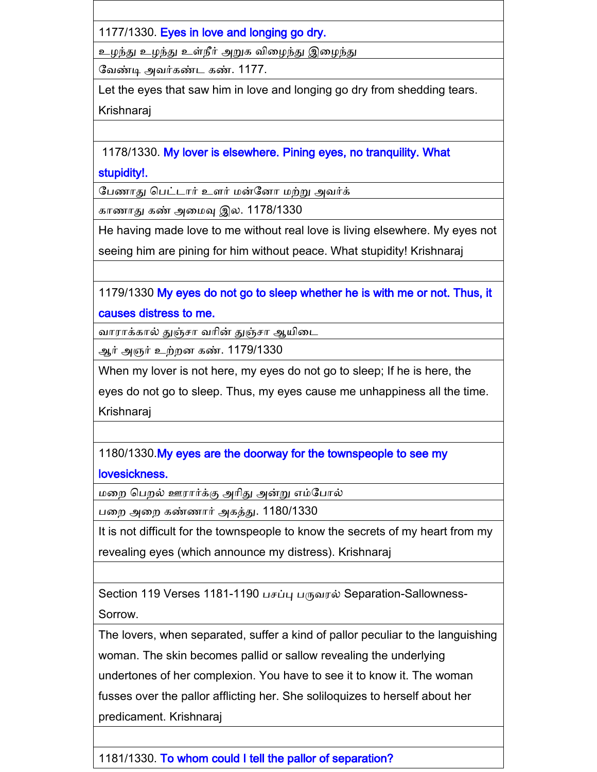1177/1330. Eyes in love and longing go dry.

உழந்து உழந்து உள்நீர் அறுக விழைந்து இழைந்து

கவண்டி அவர்கண்ட கண். 1177.

Let the eyes that saw him in love and longing go dry from shedding tears. Krishnaraj

1178/1330. My lover is elsewhere. Pining eyes, no tranquility. What stupidity!.

கபணாது கபட்டார் உளர் மன்கைா மற்று அவர்க்

காணாது கண் அனமவு இல. 1178/1330

He having made love to me without real love is living elsewhere. My eyes not

seeing him are pining for him without peace. What stupidity! Krishnaraj

1179/1330 My eyes do not go to sleep whether he is with me or not. Thus, it causes distress to me.

வாராக்கால் துஞ்சா வரின் துஞ்சா ஆயிடை

ஆர் அஞர் உற்ைை கண். 1179/1330

When my lover is not here, my eyes do not go to sleep; If he is here, the

eyes do not go to sleep. Thus, my eyes cause me unhappiness all the time.

Krishnaraj

1180/1330.My eyes are the doorway for the townspeople to see my

lovesickness.

மனை கபைல் ஊரார்க்கு அாிது அன்று எம்கபால்

பனை அனை கண்ணார் அகத்து. 1180/1330

It is not difficult for the townspeople to know the secrets of my heart from my revealing eyes (which announce my distress). Krishnaraj

Section 119 Verses 1181-1190 பசப்பு பருவரல் Separation-Sallowness-Sorrow.

The lovers, when separated, suffer a kind of pallor peculiar to the languishing woman. The skin becomes pallid or sallow revealing the underlying undertones of her complexion. You have to see it to know it. The woman fusses over the pallor afflicting her. She soliloquizes to herself about her predicament. Krishnaraj

1181/1330. To whom could I tell the pallor of separation?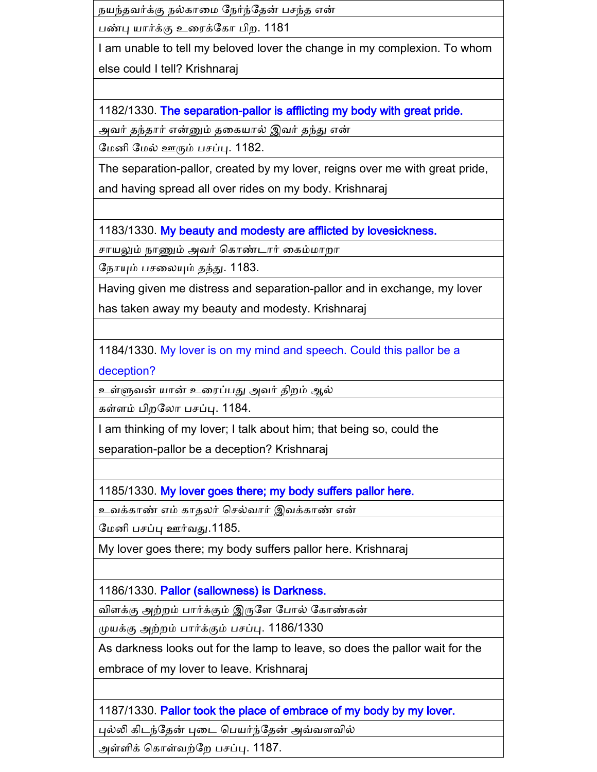நயந்தவர்க்கு நல்காமை நேர்ந்தேன் பசந்த என்

பண்பு யார்க்கு உரைக்கோ பிற. 1181

I am unable to tell my beloved lover the change in my complexion. To whom else could I tell? Krishnaraj

1182/1330. The separation-pallor is afflicting my body with great pride.

அவர் தந்தார் என்னும் தனகயால் இவர் தந்து என்

மேனி மேல் ஊரும் பசப்பு. 1182.

The separation-pallor, created by my lover, reigns over me with great pride,

and having spread all over rides on my body. Krishnaraj

1183/1330. My beauty and modesty are afflicted by lovesickness.

சாயலும் நாணும் அவர் கொண்டார் கைம்மாறா

கநாயும் ப னலயும் தந்து. 1183.

Having given me distress and separation-pallor and in exchange, my lover

has taken away my beauty and modesty. Krishnaraj

1184/1330. My lover is on my mind and speech. Could this pallor be a

deception?

உள்ளுவன் யான் உனரப்பது அவர் திைம் ஆல்

கள்ளம் பிறலோ பசப்பு. 1184.

I am thinking of my lover; I talk about him; that being so, could the

separation-pallor be a deception? Krishnaraj

1185/1330. My lover goes there; my body suffers pallor here.

உவக்காண் எம் காதலர் செல்வார் இவக்காண் என்

மேனி பசப்பு ஊர்வது.1185.

My lover goes there; my body suffers pallor here. Krishnaraj

1186/1330. Pallor (sallowness) is Darkness.

விளக்கு அற்ைம் பார்க்கும் இருகள கபால் ககாண்கன்

முயக்கு அற்றம் பார்க்கும் பசப்பு. 1186/1330

As darkness looks out for the lamp to leave, so does the pallor wait for the

embrace of my lover to leave. Krishnaraj

1187/1330. Pallor took the place of embrace of my body by my lover.

புல்லி கிடந்கதன் புனட கபயர்ந்கதன் அவ்வளவில்

அள்ளிக் கொள்வற்றே பசப்பு. 1187.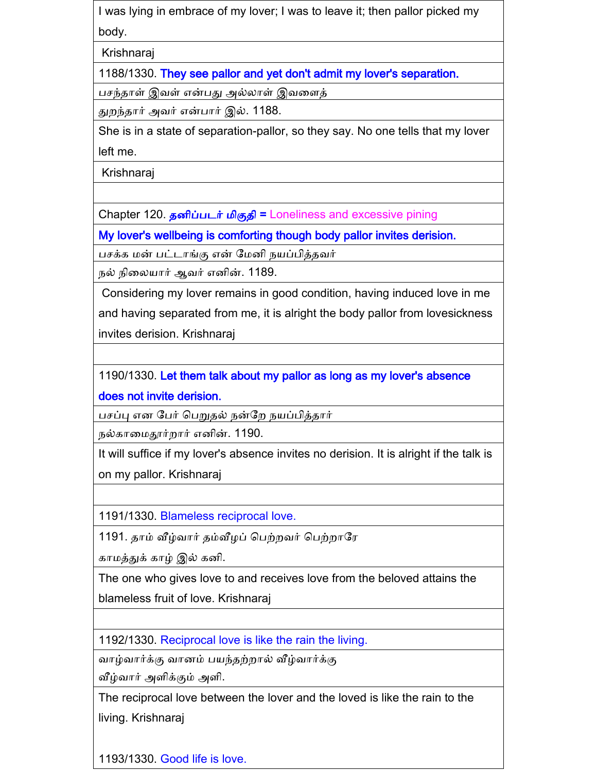I was lying in embrace of my lover; I was to leave it; then pallor picked my body.

Krishnaraj

1188/1330. They see pallor and yet don't admit my lover's separation.

ப ந்தாள் இவள் என்பது அல்லாள் இவனளத்

துைந்தார் அவர் என்பார் இல். 1188.

She is in a state of separation-pallor, so they say. No one tells that my lover left me.

Krishnaraj

Chapter 120. தனிப்படர் மிகுதி = Loneliness and excessive pining

My lover's wellbeing is comforting though body pallor invites derision.

பசக்க மன் பட்டாங்கு என் மேனி நயப்பித்தவர்

நல் நினலயார் ஆவர் எைின். 1189.

Considering my lover remains in good condition, having induced love in me and having separated from me, it is alright the body pallor from lovesickness invites derision. Krishnaraj

1190/1330. Let them talk about my pallor as long as my lover's absence does not invite derision.

பசப்பு என பேர் பெறுதல் நன்றே நயப்பித்தார்

நல்காமைதூர்றார் எனின். 1190.

It will suffice if my lover's absence invites no derision. It is alright if the talk is on my pallor. Krishnaraj

1191/1330. Blameless reciprocal love.

1191. தாம் வீழ்வார் தம்வீழப் பெற்றவர் பெற்றாரே

காமத்துக் காழ் இல் கைி.

The one who gives love to and receives love from the beloved attains the blameless fruit of love. Krishnaraj

1192/1330. Reciprocal love is like the rain the living.

வாழ்வார்க்கு வாைம் பயந்தற்ைால் வீழ்வார்க்கு

வீழ்வார் அளிக்கும் அளி.

The reciprocal love between the lover and the loved is like the rain to the living. Krishnaraj

1193/1330. Good life is love.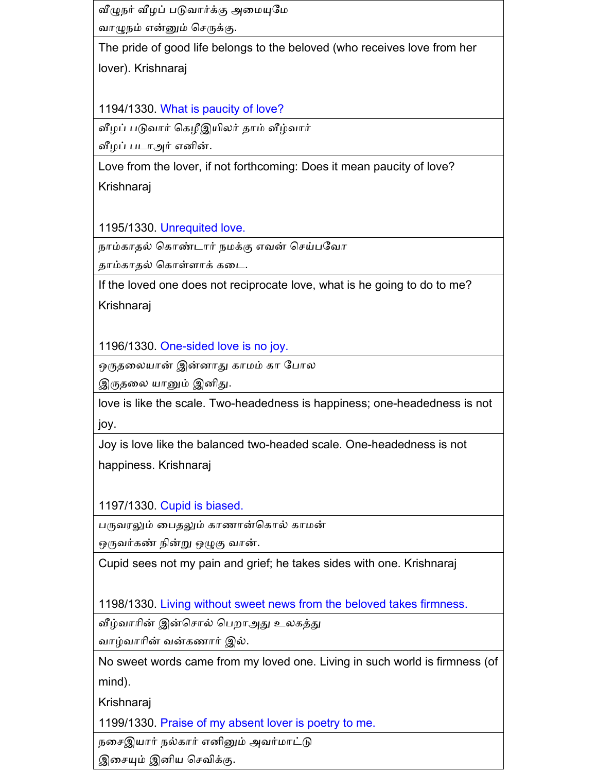வீழுநர் வீழப் படுவார்க்கு அமையுமே வாழுநம் என்னும் செருக்கு.

The pride of good life belongs to the beloved (who receives love from her lover). Krishnaraj

1194/1330. What is paucity of love?

வீழப் படுவார் கெழீஇயிலர் தாம் வீழ்வார்

வீழப் படாஅர் எனின்.

Love from the lover, if not forthcoming: Does it mean paucity of love? Krishnaraj

1195/1330. Unrequited love.

நாம்காதல் கொண்டார் நமக்கு எவன் செய்பவோ

தாம்காதல் ககாள்ளாக் கனட.

If the loved one does not reciprocate love, what is he going to do to me?

Krishnaraj

1196/1330. One-sided love is no joy.

ஒருதனலயான் இன்ைாது காமம் கா கபால

இருதலை யானும் இனிது.

love is like the scale. Two-headedness is happiness; one-headedness is not joy.

Joy is love like the balanced two-headed scale. One-headedness is not happiness. Krishnaraj

1197/1330. Cupid is biased.

பருவரலும் பைதலும் காணான்கொல் காமன்

ஒருவர்கண் நின்று ஒழுகு வான்.

Cupid sees not my pain and grief; he takes sides with one. Krishnaraj

1198/1330. Living without sweet news from the beloved takes firmness.

வீழ்வாரின் இன்சொல் பெறாஅது உலகத்து

வாழ்வாாின் வன்கணார் இல்.

No sweet words came from my loved one. Living in such world is firmness (of mind).

Krishnaraj

1199/1330. Praise of my absent lover is poetry to me.

நன இயார் நல்கார் எைினும் அவர்மாட்டு

இசையும் இனிய செவிக்கு.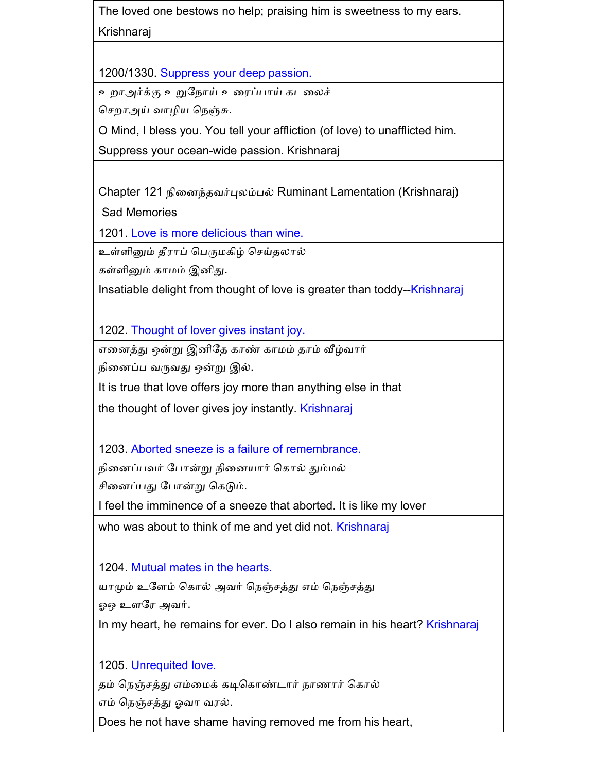The loved one bestows no help; praising him is sweetness to my ears. Krishnaraj

1200/1330. Suppress your deep passion.

உறாஅர்க்கு உறுநோய் உரைப்பாய் கடலைச்

செறாஅய் வாழிய நெஞ்சு.

O Mind, I bless you. You tell your affliction (of love) to unafflicted him.

Suppress your ocean-wide passion. Krishnaraj

Chapter 121 நினைந்தவர்புலம்பல் Ruminant Lamentation (Krishnaraj)

Sad Memories

1201. Love is more delicious than wine.

உள்ளினும் தீராப் பெருமகிழ் செய்தலால்

கள்ளினும் காமம் இனிது.

Insatiable delight from thought of love is greater than toddy--Krishnaraj

1202. Thought of lover gives instant joy.

எனைத்து ஒன்று இைிகத காண் காமம் தாம் வீழ்வார்

நினைப்ப வருவது ஒன்று இல்.

It is true that love offers joy more than anything else in that

the thought of lover gives joy instantly. Krishnaraj

1203. Aborted sneeze is a failure of remembrance.

நினைப்பவர் போன்று நினையார் கொல் தும்மல்

ினைப்பது கபான்று ககடும்.

I feel the imminence of a sneeze that aborted. It is like my lover

who was about to think of me and yet did not. Krishnaraj

1204. Mutual mates in the hearts.

யாமும் உளேம் கொல் அவர் நெஞ்சத்து எம் நெஞ்சத்து

ஓஒ உளகர அவர்.

In my heart, he remains for ever. Do I also remain in his heart? Krishnaraj

1205. Unrequited love.

தம் நெஞ்சத்து எம்மைக் கடிகொண்டார் நாணார் கொல்

எம் கநஞ் த்து ஓவா வரல்.

Does he not have shame having removed me from his heart,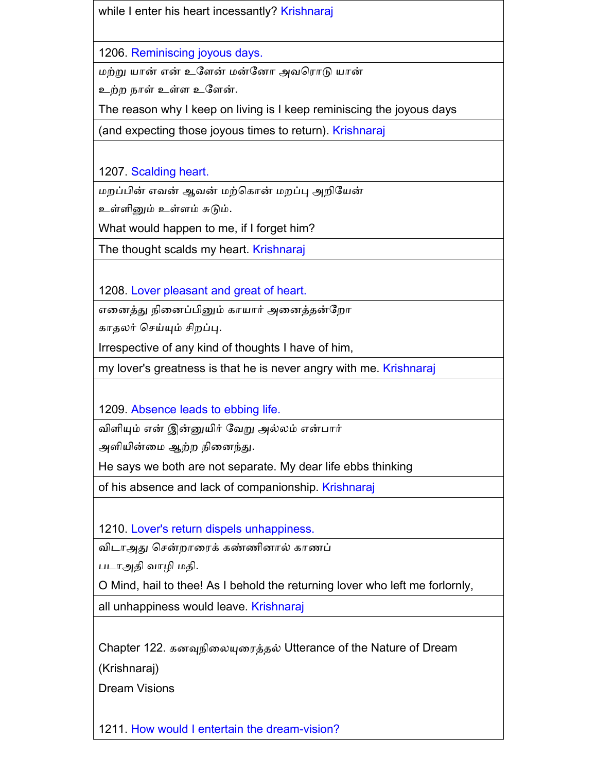while I enter his heart incessantly? Krishnaraj

1206. Reminiscing joyous days.

மற்று யான் என் உகளன் மன்கைா அவகராடு யான்

உற்ை நாள் உள்ள உகளன்.

The reason why I keep on living is I keep reminiscing the joyous days

(and expecting those joyous times to return). Krishnaraj

1207. Scalding heart.

மறப்பின் எவன் ஆவன் மற்கொன் மறப்பு அறியேன்

உள்ளினும் உள்ளம் சுடும்.

What would happen to me, if I forget him?

The thought scalds my heart. Krishnaraj

1208. Lover pleasant and great of heart.

எனைத்து நினைப்பினும் காயார் அனைத்தன்றோ

காதலர் செய்யும் சிறப்பு.

Irrespective of any kind of thoughts I have of him,

my lover's greatness is that he is never angry with me. Krishnaraj

1209. Absence leads to ebbing life.

விளியும் என் இன்னுயிர் கவறு அல்லம் என்பார்

அளியின்னம ஆற்ை நினைந்து.

He says we both are not separate. My dear life ebbs thinking

of his absence and lack of companionship. Krishnaraj

1210. Lover's return dispels unhappiness.

விடாஅது சென்றாரைக் கண்ணினால் காணப்

படாஅதி வாழி மதி.

O Mind, hail to thee! As I behold the returning lover who left me forlornly,

all unhappiness would leave. Krishnaraj

Chapter 122. கைவுநினலயுனரத்தல் Utterance of the Nature of Dream

(Krishnaraj)

Dream Visions

1211. How would I entertain the dream-vision?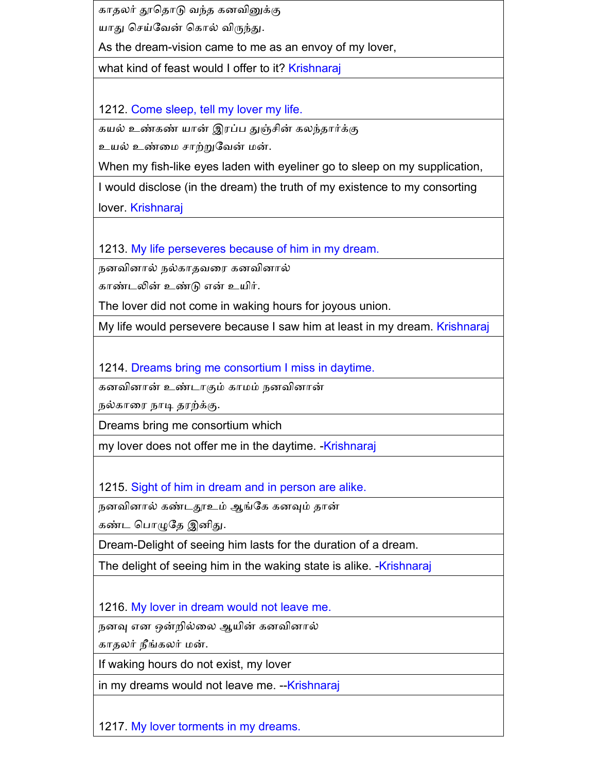காதலர் தூகதாடு வந்த கைவினுக்கு

யாது செய்வேன் கொல் விருந்து.

As the dream-vision came to me as an envoy of my lover,

what kind of feast would I offer to it? Krishnaraj

1212. Come sleep, tell my lover my life.

கயல் உண்கண் யான் இரப்ப துஞ்சின் கலந்தார்க்கு உயல் உண்னம ாற்றுகவன் மன்.

When my fish-like eyes laden with eyeliner go to sleep on my supplication,

I would disclose (in the dream) the truth of my existence to my consorting

lover. Krishnaraj

1213. My life perseveres because of him in my dream.

நனவினால் நல்காதவரை கனவினால்

காண்டலின் உண்டு என் உயிர்.

The lover did not come in waking hours for joyous union.

My life would persevere because I saw him at least in my dream. Krishnaraj

1214. Dreams bring me consortium I miss in daytime.

கனவினான் உண்டாகும் காமம் நனவினான்

நல்கானர நாடி தரற்க்கு.

Dreams bring me consortium which

my lover does not offer me in the daytime. - Krishnaraj

1215. Sight of him in dream and in person are alike.

நனவினால் கண்டதூஉம் ஆங்கே கனவும் தான்

கண்ட கபாழுகத இைிது.

Dream-Delight of seeing him lasts for the duration of a dream.

The delight of seeing him in the waking state is alike. -Krishnaraj

1216. My lover in dream would not leave me.

நனவு என ஒன்றில்லை ஆயின் கனவினால்

காதலர் நீங்கலர் மன்.

If waking hours do not exist, my lover

in my dreams would not leave me. --Krishnaraj

1217. My lover torments in my dreams.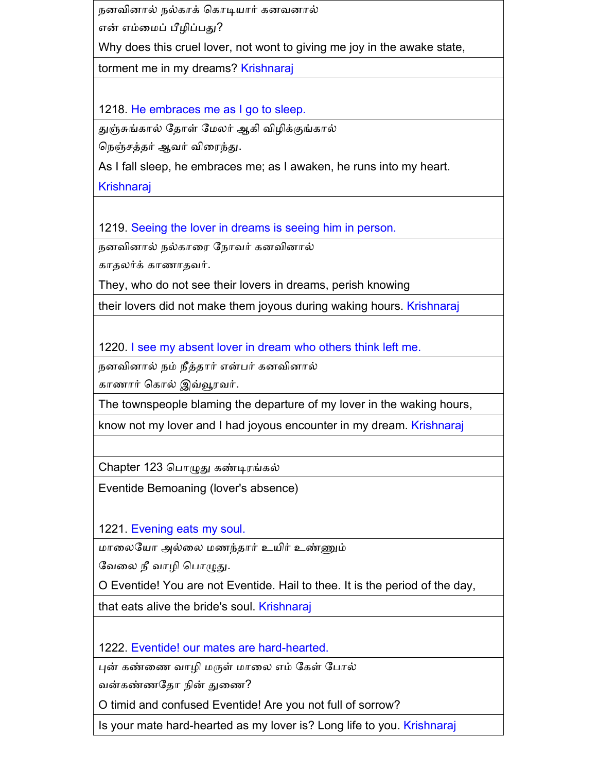நனவினால் நல்காக் கொடியார் கனவனால்

என் எம்மைப் பீழிப்பது?

Why does this cruel lover, not wont to giving me joy in the awake state,

torment me in my dreams? Krishnaraj

1218. He embraces me as I go to sleep.

துஞ்சுங்கால் தோள் மேலர் ஆகி விழிக்குங்கால்

கநஞ் த்தர் ஆவர் வினரந்து.

As I fall sleep, he embraces me; as I awaken, he runs into my heart.

Krishnaraj

1219. Seeing the lover in dreams is seeing him in person.

நனவினால் நல்காரை நோவர் கனவினால்

காதலர்க் காணாதவர்.

They, who do not see their lovers in dreams, perish knowing

their lovers did not make them joyous during waking hours. Krishnaraj

1220. I see my absent lover in dream who others think left me.

நனவினால் நம் நீத்தார் என்பர் கனவினால்

காணார் ககால் இவ்வூரவர்.

The townspeople blaming the departure of my lover in the waking hours,

know not my lover and I had joyous encounter in my dream. Krishnaraj

Chapter 123 கபாழுது கண்டிரங்கல்

Eventide Bemoaning (lover's absence)

1221. Evening eats my soul.

மானலகயா அல்னல மணந்தார் உயிர் உண்ணும்

வேலை நீ வாழி பொழுது.

O Eventide! You are not Eventide. Hail to thee. It is the period of the day,

that eats alive the bride's soul. Krishnaraj

1222. Eventide! our mates are hard-hearted.

புன் கண்ணை வாழி மருள் மாலை எம் கேள் போல்

வன்கண்ணகதா நின் துனண?

O timid and confused Eventide! Are you not full of sorrow?

Is your mate hard-hearted as my lover is? Long life to you. Krishnaraj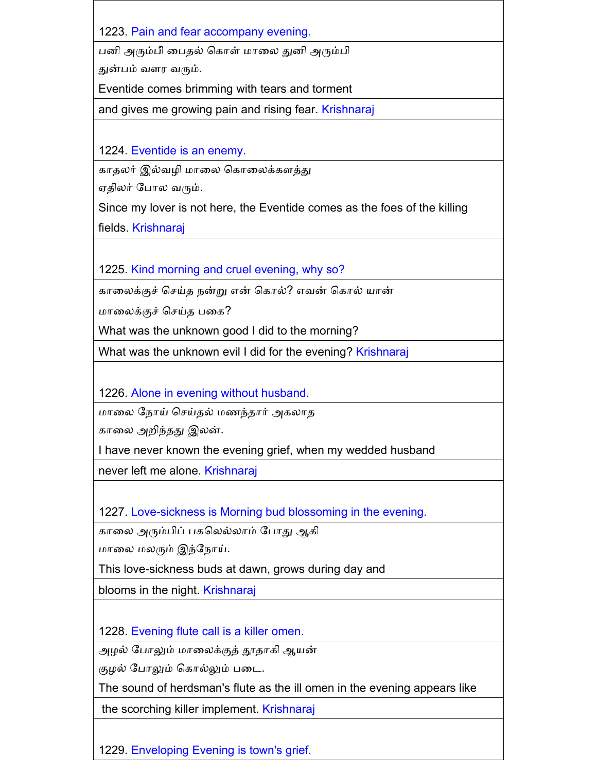1223. Pain and fear accompany evening.

பனி அரும்பி் பைதல் கொள் மாலை துனி அரும்பி

துன்பம் வளர வரும்.

Eventide comes brimming with tears and torment

and gives me growing pain and rising fear. Krishnaraj

1224. Eventide is an enemy.

காதலர் இல்வழி மாலை கொலைக்களத்து

ஏதிலர் கபால வரும்.

Since my lover is not here, the Eventide comes as the foes of the killing fields. Krishnaraj

1225. Kind morning and cruel evening, why so?

காலைக்குச் செய்த நன்று என் கொல்? எவன் கொல் யான்

மாலைக்குச் செய்த பகை?

What was the unknown good I did to the morning?

What was the unknown evil I did for the evening? Krishnaraj

1226. Alone in evening without husband.

மாலை நோய் செய்தல் மணந்தார் அகலாத

கானல அைிந்தது இலன்.

I have never known the evening grief, when my wedded husband

never left me alone. Krishnaraj

1227. Love-sickness is Morning bud blossoming in the evening.

கானல அரும்பிப் பககலல்லாம் கபாது ஆகி

மானல மலரும் இந்கநாய்.

This love-sickness buds at dawn, grows during day and

blooms in the night. Krishnaraj

1228. Evening flute call is a killer omen.

அைல் கபாலும் மானலக்குத் தூதாகி ஆயன்

குழல் போலும் கொல்லும் படை.

The sound of herdsman's flute as the ill omen in the evening appears like

the scorching killer implement. Krishnaraj

1229. Enveloping Evening is town's grief.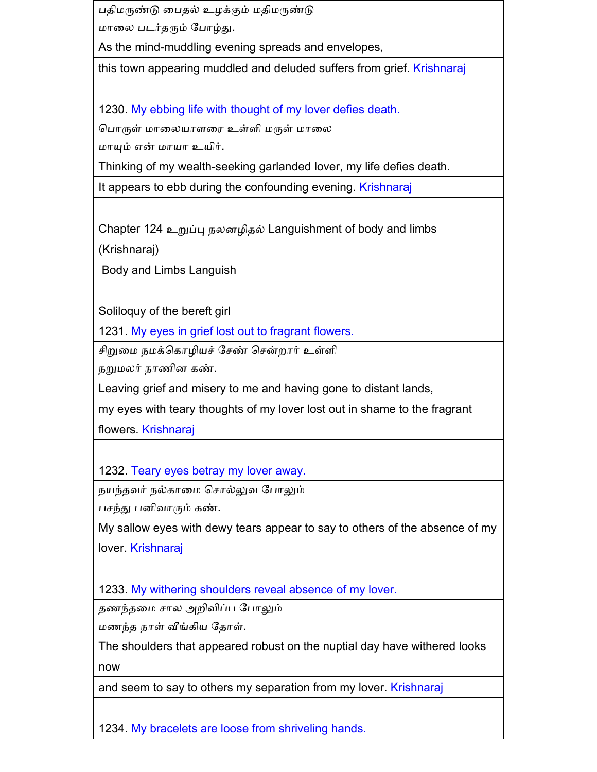பதிமருண்டு பைதல் உழக்கும் மதிமருண்டு

மானல படர்தரும் கபாழ்து.

As the mind-muddling evening spreads and envelopes,

this town appearing muddled and deluded suffers from grief. Krishnaraj

1230. My ebbing life with thought of my lover defies death.

கபாருள் மானலயாளனர உள்ளி மருள் மானல

மாயும் என் மாயா உயிர்.

Thinking of my wealth-seeking garlanded lover, my life defies death.

It appears to ebb during the confounding evening. Krishnaraj

Chapter 124 உறுப்பு நலனழிதல் Languishment of body and limbs

(Krishnaraj)

Body and Limbs Languish

Soliloquy of the bereft girl

1231. My eyes in grief lost out to fragrant flowers.

சிறுமை நமக்கொழியச் சேண் சென்றார் உள்ளி

நறுமலர் நாணின கண்.

Leaving grief and misery to me and having gone to distant lands,

my eyes with teary thoughts of my lover lost out in shame to the fragrant

flowers. Krishnaraj

1232. Teary eyes betray my lover away.

நயந்தவர் நல்காமை சொல்லுவ போலும்

பசந்து பனிவாரும் கண்.

My sallow eyes with dewy tears appear to say to others of the absence of my lover. Krishnaraj

1233. My withering shoulders reveal absence of my lover.

தணந்தமை சால அறிவிப்ப போலும்

மணந்த நாள் வீங்கிய கதாள்.

The shoulders that appeared robust on the nuptial day have withered looks now

and seem to say to others my separation from my lover. Krishnaraj

1234. My bracelets are loose from shriveling hands.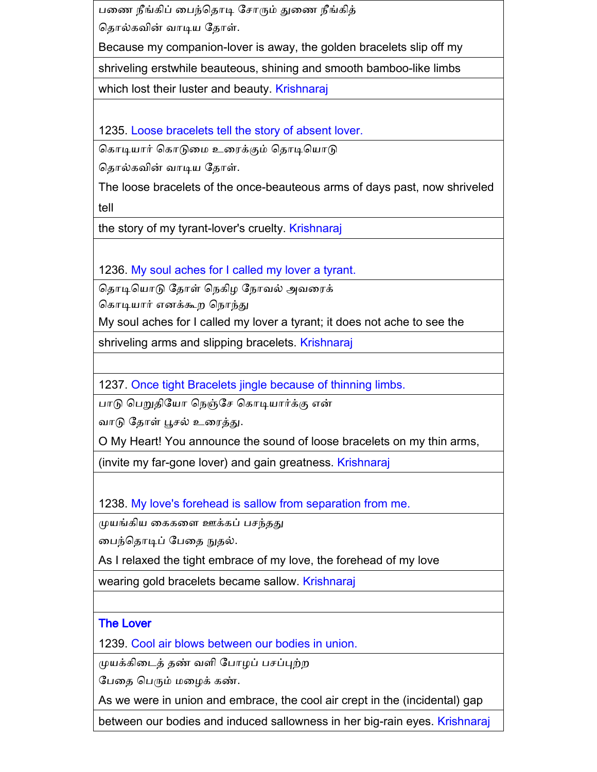பணை நீங்கிப் பைந்தொடி சோரும் துணை நீங்கித் கதால்கவின் வாடிய கதாள்.

Because my companion-lover is away, the golden bracelets slip off my

shriveling erstwhile beauteous, shining and smooth bamboo-like limbs

which lost their luster and beauty. Krishnaraj

1235. Loose bracelets tell the story of absent lover.

கொடியார் கொடுமை உரைக்கும் தொடியொடு

கதால்கவின் வாடிய கதாள்.

The loose bracelets of the once-beauteous arms of days past, now shriveled tell

the story of my tyrant-lover's cruelty. Krishnaraj

1236. My soul aches for I called my lover a tyrant.

தொடியொடு தோள் நெகிழ நோவல் அவரைக் கொடியார் எனக்கூற நொந்து

My soul aches for I called my lover a tyrant; it does not ache to see the

shriveling arms and slipping bracelets. Krishnaraj

1237. Once tight Bracelets jingle because of thinning limbs.

பாடு கபறுதிகயா கநஞ்க ககாடியார்க்கு என்

வாடு தோள் பூசல் உரைத்து.

O My Heart! You announce the sound of loose bracelets on my thin arms,

(invite my far-gone lover) and gain greatness. Krishnaraj

1238. My love's forehead is sallow from separation from me.

முயங்கிய கைகளை ஊக்கப் பசந்தது

னபந்கதாடிப் கபனத நுதல்.

As I relaxed the tight embrace of my love, the forehead of my love

wearing gold bracelets became sallow. Krishnaraj

#### The Lover

1239. Cool air blows between our bodies in union.

முயக்கிடைத் தண் வளி போழப் பசப்புற்ற

கபனத கபரும் மனைக் கண்.

As we were in union and embrace, the cool air crept in the (incidental) gap

between our bodies and induced sallowness in her big-rain eyes. Krishnaraj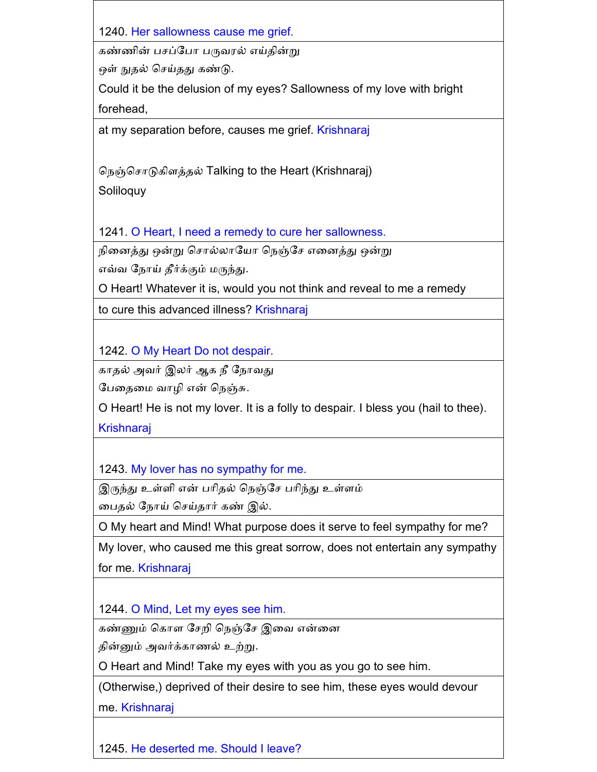1240. Her sallowness cause me grief.

கண்ணின் பசப்போ பருவரல் எய்தின்று

ஒள் நுதல் செய்தது கண்டு.

Could it be the delusion of my eyes? Sallowness of my love with bright forehead,

at my separation before, causes me grief. Krishnaraj

கநஞ்க ாடுகிளத்தல் Talking to the Heart (Krishnaraj)

Soliloquy

1241. O Heart, I need a remedy to cure her sallowness.

நினைத்து ஒன்று சொல்லாயோ நெஞ்சே எனைத்து ஒன்று

எவ்வ கநாய் தீர்க்கும் மருந்து.

O Heart! Whatever it is, would you not think and reveal to me a remedy

to cure this advanced illness? Krishnaraj

1242. O My Heart Do not despair.

காதல் அவர் இலர் ஆக நீ கநாவது

பேதைமை வாழி என் நெஞ்சு.

O Heart! He is not my lover. It is a folly to despair. I bless you (hail to thee).

**Krishnaraj** 

1243. My lover has no sympathy for me.

இருந்து உள்ளி என் பரிதல் நெஞ்சே பரிந்து உள்ளம்

பைதல் நோய் செய்தார் கண் இல்.

O My heart and Mind! What purpose does it serve to feel sympathy for me?

My lover, who caused me this great sorrow, does not entertain any sympathy for me. Krishnaraj

1244. O Mind, Let my eyes see him.

கண்ணும் கொள சேறி நெஞ்சே இவை என்னை

தின்னும் அவர்க்காணல் உற்று.

O Heart and Mind! Take my eyes with you as you go to see him.

(Otherwise,) deprived of their desire to see him, these eyes would devour

me. Krishnaraj

1245. He deserted me. Should I leave?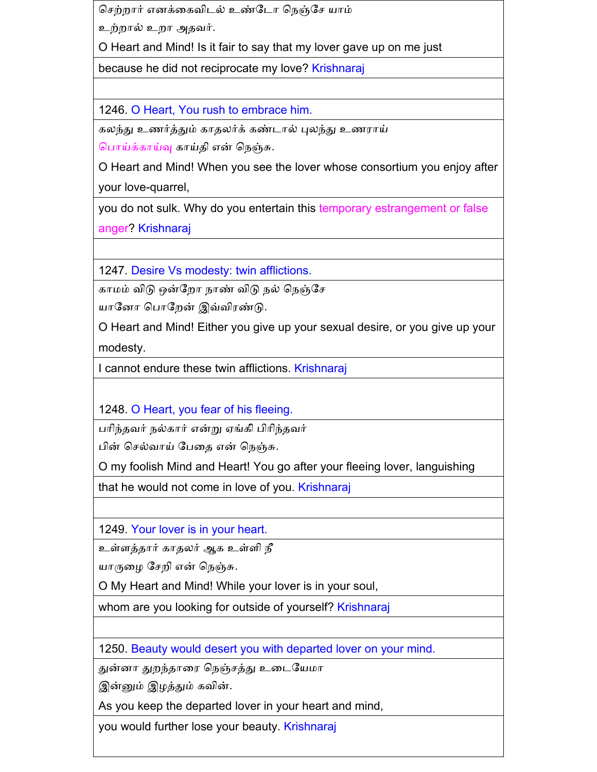செற்றார் எனக்கைவிடல் உண்டோ நெஞ்சே யாம்

உற்றால் உறா அதவர்.

O Heart and Mind! Is it fair to say that my lover gave up on me just

because he did not reciprocate my love? Krishnaraj

1246. O Heart, You rush to embrace him.

கலந்து உணர்த்தும் காதலர்க் கண்டால் புலந்து உணராய்

கபாய்க்காய்வு காய்தி என் கநஞ்சு.

O Heart and Mind! When you see the lover whose consortium you enjoy after your love-quarrel,

you do not sulk. Why do you entertain this temporary estrangement or false anger? Krishnaraj

1247. Desire Vs modesty: twin afflictions.

காமம் விடு ஒன்றோ நாண் விடு நல் நெஞ்சே

யாகைா கபாகைன் இவ்விரண்டு.

O Heart and Mind! Either you give up your sexual desire, or you give up your modesty.

I cannot endure these twin afflictions. Krishnaraj

1248. O Heart, you fear of his fleeing.

பரிந்தவர் நல்கார் என்று ஏங்கி பிரிந்தவர்

பின் செல்வாய் பேதை என் நெஞ்சு.

O my foolish Mind and Heart! You go after your fleeing lover, languishing

that he would not come in love of you. Krishnaraj

1249. Your lover is in your heart.

உள்ளத்தார் காதலர் ஆக உள்ளி நீ

யாருழை சேறி என் நெஞ்சு.

O My Heart and Mind! While your lover is in your soul,

whom are you looking for outside of yourself? Krishnaraj

1250. Beauty would desert you with departed lover on your mind.

துன்னா துறந்தாரை நெஞ்சத்து உடையேமா

இன்னும் இழத்தும் கவின்.

As you keep the departed lover in your heart and mind,

you would further lose your beauty. Krishnaraj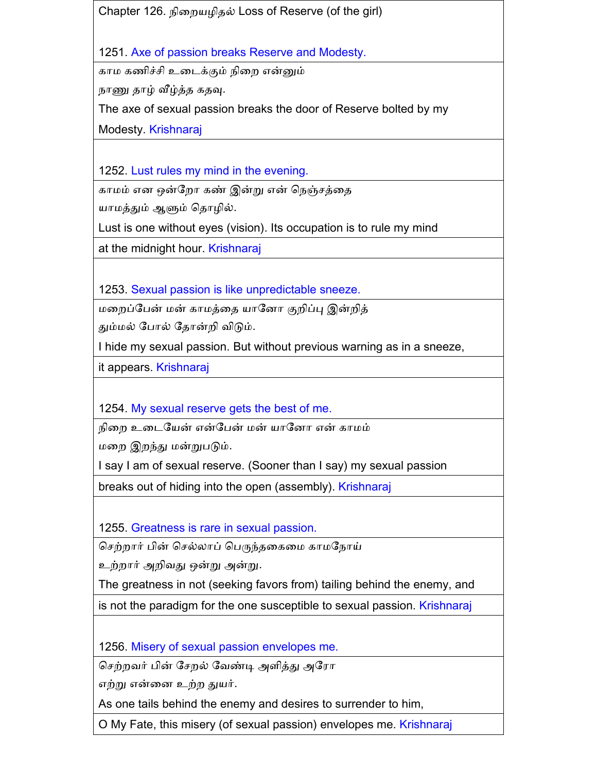Chapter 126. நினையைிதல் Loss of Reserve (of the girl)

1251. Axe of passion breaks Reserve and Modesty.

காம கணிச்சி உடைக்கும் நிறை என்னும்

நாணு தாழ் வீழ்த்த கதவு.

The axe of sexual passion breaks the door of Reserve bolted by my

Modesty. Krishnaraj

1252. Lust rules my mind in the evening.

காமம் என ஒன்றோ கண் இன்று என் நெஞ்சத்தை

யாமத்தும் ஆளும் தொழில்.

Lust is one without eyes (vision). Its occupation is to rule my mind

at the midnight hour. Krishnaraj

1253. Sexual passion is like unpredictable sneeze.

மறைப்பேன் மன் காமத்தை யானோ குறிப்பு இன்றித்

தும்மல் போல் தோன்றி விடும்.

I hide my sexual passion. But without previous warning as in a sneeze,

it appears. Krishnaraj

1254. My sexual reserve gets the best of me.

நினை உனடகயன் என்கபன் மன் யாகைா என் காமம்

மனை இைந்து மன்றுபடும்.

I say I am of sexual reserve. (Sooner than I say) my sexual passion

breaks out of hiding into the open (assembly). Krishnaraj

1255. Greatness is rare in sexual passion.

செற்றார் பின் செல்லாப் பெருந்தகைமை காமநோய்

உற்றார் அறிவது ஒன்று அன்று.

The greatness in not (seeking favors from) tailing behind the enemy, and

is not the paradigm for the one susceptible to sexual passion. Krishnaraj

1256. Misery of sexual passion envelopes me.

செற்றவர் பின் சேறல் வேண்டி அளித்து அரோ

எற்று என்னை உற்ை துயர்.

As one tails behind the enemy and desires to surrender to him,

O My Fate, this misery (of sexual passion) envelopes me. Krishnaraj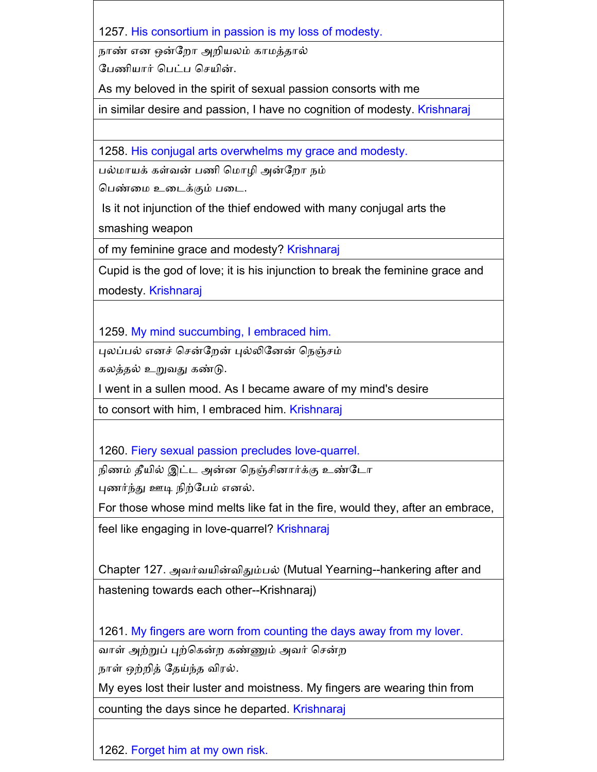1257. His consortium in passion is my loss of modesty.

நாண் என ஒன்றோ அறியலம் காமத்தால்

பேணியார் பெட்ப செயின்.

As my beloved in the spirit of sexual passion consorts with me

in similar desire and passion, I have no cognition of modesty. Krishnaraj

1258. His conjugal arts overwhelms my grace and modesty.

பல்மாயக் கள்வன் பணி மொழி அன்றோ நம்

கபண்னம உனடக்கும் பனட.

Is it not injunction of the thief endowed with many conjugal arts the

smashing weapon

of my feminine grace and modesty? Krishnaraj

Cupid is the god of love; it is his injunction to break the feminine grace and modesty. Krishnaraj

1259. My mind succumbing, I embraced him.

புலப்பல் எனச் சென்றேன் புல்லினேன் நெஞ்சம்

கலத்தல் உறுவது கண்டு.

I went in a sullen mood. As I became aware of my mind's desire

to consort with him, I embraced him. Krishnaraj

1260. Fiery sexual passion precludes love-quarrel.

நிணம் தீயில் இட்ட அன்ன நெஞ்சினார்க்கு உண்டோ

புணர்ந்து ஊடி நிற்கபம் எைல்.

For those whose mind melts like fat in the fire, would they, after an embrace,

feel like engaging in love-quarrel? Krishnaraj

Chapter 127. அவர்வயின்விதும்பல் (Mutual Yearning--hankering after and hastening towards each other--Krishnaraj)

1261. My fingers are worn from counting the days away from my lover.

வாள் அற்றுப் புற்கென்ற கண்ணும் அவர் சென்ற

நாள் ஒற்ைித் கதய்ந்த விரல்.

My eyes lost their luster and moistness. My fingers are wearing thin from

counting the days since he departed. Krishnaraj

1262. Forget him at my own risk.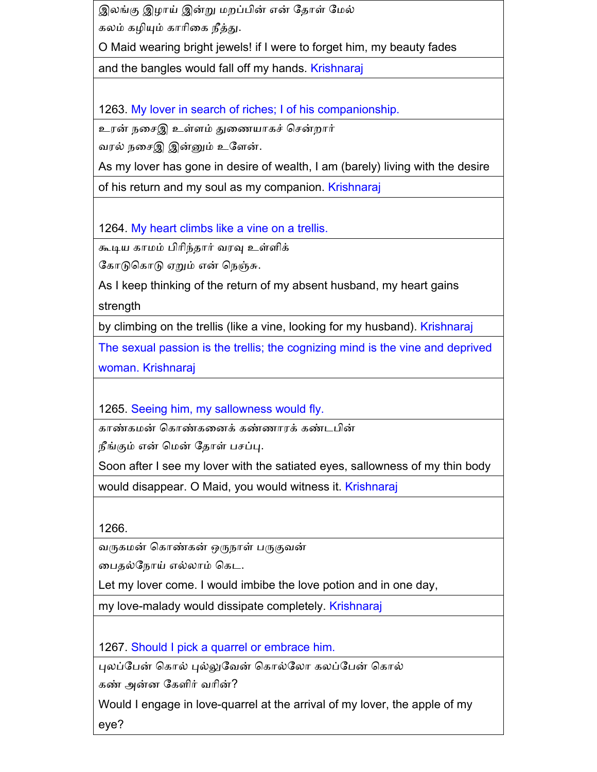இலங்கு இழாய் இன்று மறப்பின் என் தோள் மேல் கலம் கைியும் காாினக நீத்து.

O Maid wearing bright jewels! if I were to forget him, my beauty fades

and the bangles would fall off my hands. Krishnaraj

1263. My lover in search of riches; I of his companionship.

உரன் நசைஇ உள்ளம் துணையாகச் சென்றார்

வரல் நசைஇ இன்னும் உளேன்.

As my lover has gone in desire of wealth, I am (barely) living with the desire

of his return and my soul as my companion. Krishnaraj

1264. My heart climbs like a vine on a trellis.

கூடிய காமம் பிாிந்தார் வரவு உள்ளிக்

கோடுகொடு ஏறும் என் நெஞ்சு.

As I keep thinking of the return of my absent husband, my heart gains strength

by climbing on the trellis (like a vine, looking for my husband). Krishnaraj

The sexual passion is the trellis; the cognizing mind is the vine and deprived woman. Krishnaraj

1265. Seeing him, my sallowness would fly.

காண்கமன் ககாண்கனைக் கண்ணாரக் கண்டபின்

நீங்கும் என் மென் தோள் பசப்பு.

Soon after I see my lover with the satiated eyes, sallowness of my thin body

would disappear. O Maid, you would witness it. Krishnaraj

1266.

வருகமன் ககாண்கன் ஒருநாள் பருகுவன்

னபதல்கநாய் எல்லாம் ககட.

Let my lover come. I would imbibe the love potion and in one day,

my love-malady would dissipate completely. Krishnaraj

1267. Should I pick a quarrel or embrace him.

புலப்பேன் கொல் புல்லுவேன் கொல்லோ கலப்பேன் கொல்

கண் அன்ை ககளிர் வாின்?

Would I engage in love-quarrel at the arrival of my lover, the apple of my eye?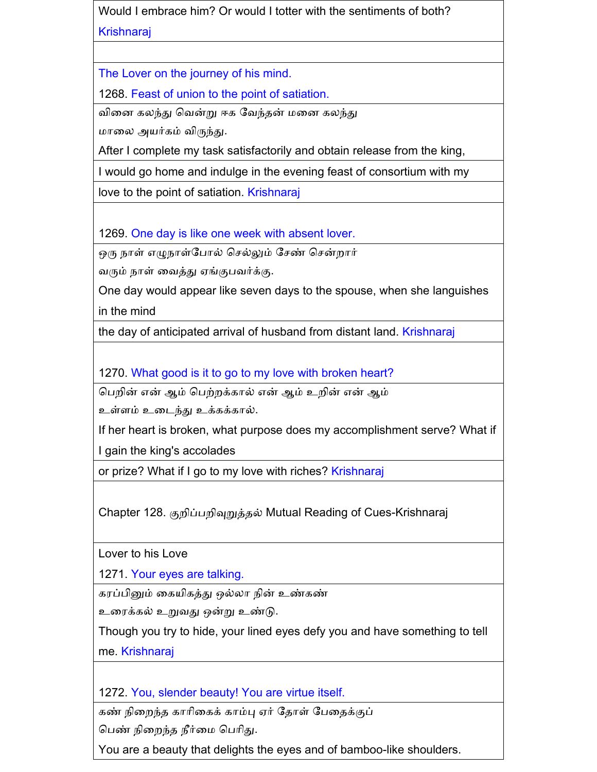Would I embrace him? Or would I totter with the sentiments of both? Krishnaraj

The Lover on the journey of his mind.

1268. Feast of union to the point of satiation.

வினை கலந்து கவன்று ஈக கவந்தன் மனை கலந்து

மானல அயர்கம் விருந்து.

After I complete my task satisfactorily and obtain release from the king,

I would go home and indulge in the evening feast of consortium with my

love to the point of satiation. Krishnaraj

1269. One day is like one week with absent lover.

ஒரு நாள் எழுநாள்போல் செல்லும் சேண் சென்றார்

வரும் நாள் னவத்து ஏங்குபவர்க்கு.

One day would appear like seven days to the spouse, when she languishes in the mind

the day of anticipated arrival of husband from distant land. Krishnaraj

1270. What good is it to go to my love with broken heart?

கபைின் என் ஆம் கபற்ைக்கால் என் ஆம் உைின் என் ஆம்

உள்ளம் உனடந்து உக்கக்கால்.

If her heart is broken, what purpose does my accomplishment serve? What if I gain the king's accolades

or prize? What if I go to my love with riches? Krishnaraj

Chapter 128. குைிப்பைிவுறுத்தல் Mutual Reading of Cues-Krishnaraj

Lover to his Love

1271. Your eyes are talking.

கரப்பினும் னகயிகத்து ஒல்லா நின் உண்கண்

உனரக்கல் உறுவது ஒன்று உண்டு.

Though you try to hide, your lined eyes defy you and have something to tell me. Krishnaraj

1272. You, slender beauty! You are virtue itself.

கண் நிறைந்த காரிகைக் காம்பு ஏர் தோள் பேதைக்குப்

கபண் நினைந்த நீர்னம கபாிது.

You are a beauty that delights the eyes and of bamboo-like shoulders.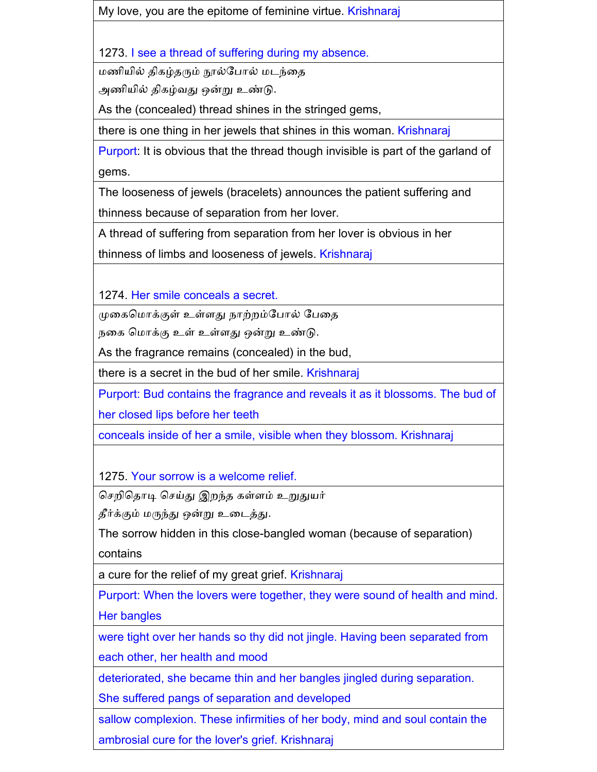My love, you are the epitome of feminine virtue. Krishnaraj

1273. I see a thread of suffering during my absence.

மணியில் திகழ்தரும் நூல்கபால் மடந்னத

அணியில் திகழ்வது ஒன்று உண்டு.

As the (concealed) thread shines in the stringed gems,

there is one thing in her jewels that shines in this woman. Krishnaraj

Purport: It is obvious that the thread though invisible is part of the garland of gems.

The looseness of jewels (bracelets) announces the patient suffering and thinness because of separation from her lover.

A thread of suffering from separation from her lover is obvious in her

thinness of limbs and looseness of jewels. Krishnaraj

1274. Her smile conceals a secret.

முனககமாக்குள் உள்ளது நாற்ைம்கபால் கபனத

நனக கமாக்கு உள் உள்ளது ஒன்று உண்டு.

As the fragrance remains (concealed) in the bud,

there is a secret in the bud of her smile. Krishnaraj

Purport: Bud contains the fragrance and reveals it as it blossoms. The bud of her closed lips before her teeth

conceals inside of her a smile, visible when they blossom. Krishnaraj

1275. Your sorrow is a welcome relief.

செறிதொடி செய்து இறந்த கள்ளம் உறுதுயர்

தீர்க்கும் மருந்து ஒன்று உனடத்து.

The sorrow hidden in this close-bangled woman (because of separation)

contains

a cure for the relief of my great grief. Krishnaraj

Purport: When the lovers were together, they were sound of health and mind. Her bangles

were tight over her hands so thy did not jingle. Having been separated from each other, her health and mood

deteriorated, she became thin and her bangles jingled during separation.

She suffered pangs of separation and developed

sallow complexion. These infirmities of her body, mind and soul contain the

ambrosial cure for the lover's grief. Krishnaraj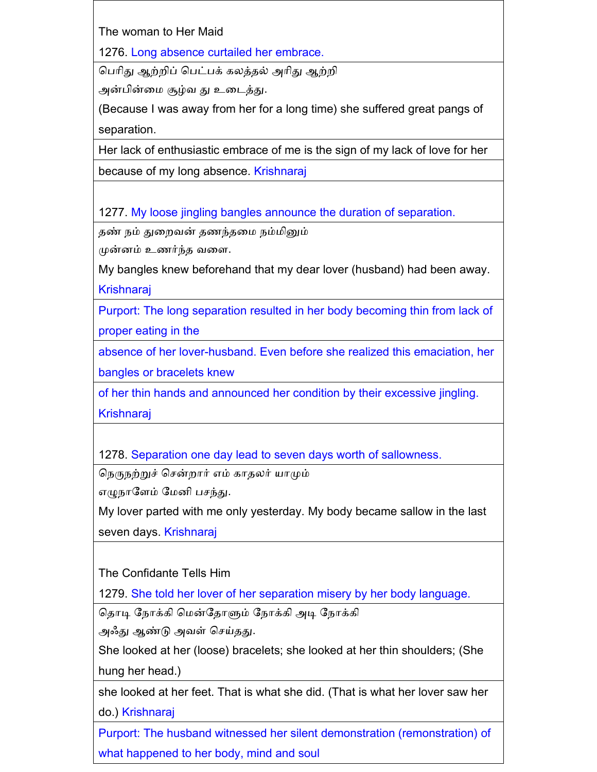The woman to Her Maid

1276. Long absence curtailed her embrace.

கபாிது ஆற்ைிப் கபட்பக் கலத்தல் அாிது ஆற்ைி

அன்பின்னம சூழ்வ து உனடத்து.

(Because I was away from her for a long time) she suffered great pangs of separation.

Her lack of enthusiastic embrace of me is the sign of my lack of love for her

because of my long absence. Krishnaraj

1277. My loose jingling bangles announce the duration of separation.

தண் நம் துனைவன் தணந்தனம நம்மினும்

முன்ைம் உணர்ந்த வனள.

My bangles knew beforehand that my dear lover (husband) had been away. Krishnaraj

Purport: The long separation resulted in her body becoming thin from lack of proper eating in the

absence of her lover-husband. Even before she realized this emaciation, her bangles or bracelets knew

of her thin hands and announced her condition by their excessive jingling.

**Krishnaraj** 

1278. Separation one day lead to seven days worth of sallowness.

நெருநற்றுச் சென்றார் எம் காதலர் யாமும்

எழுநாளேம் மேனி பசந்து.

My lover parted with me only yesterday. My body became sallow in the last

seven days. Krishnaraj

The Confidante Tells Him

1279. She told her lover of her separation misery by her body language.

கதாடி கநாக்கி கமன்கதாளும் கநாக்கி அடி கநாக்கி

அஃது ஆண்டு அவள் செய்தது.

She looked at her (loose) bracelets; she looked at her thin shoulders; (She hung her head.)

she looked at her feet. That is what she did. (That is what her lover saw her do.) Krishnaraj

Purport: The husband witnessed her silent demonstration (remonstration) of what happened to her body, mind and soul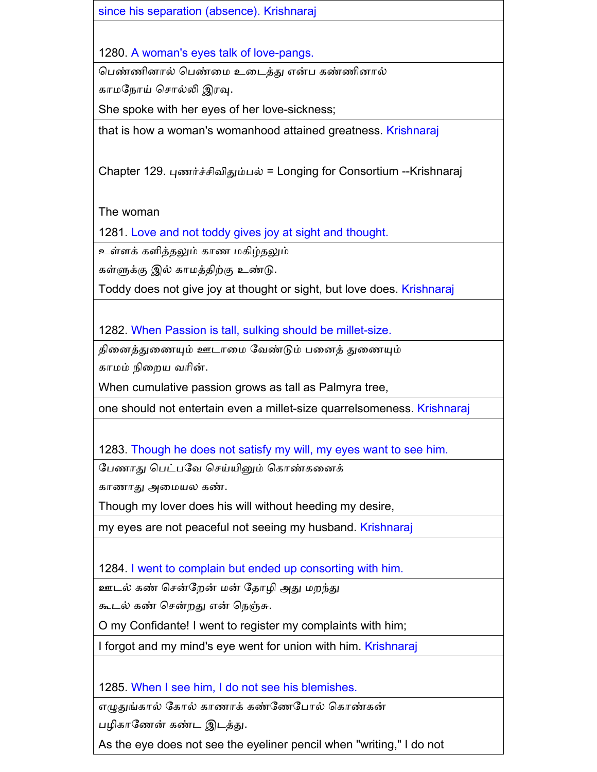since his separation (absence). Krishnaraj

1280. A woman's eyes talk of love-pangs.

கபண்ணிைால் கபண்னம உனடத்து என்ப கண்ணிைால்

காமநோய் சொல்லி இரவு.

She spoke with her eyes of her love-sickness;

that is how a woman's womanhood attained greatness. Krishnaraj

Chapter 129. புணர்ச்சிவிதும்பல் = Longing for Consortium --Krishnaraj

The woman

1281. Love and not toddy gives joy at sight and thought.

உள்ளக் களித்தலும் காண மகிழ்தலும்

கள்ளுக்கு இல் காமத்திற்கு உண்டு.

Toddy does not give joy at thought or sight, but love does. Krishnaraj

1282. When Passion is tall, sulking should be millet-size.

தினைத்துனணயும் ஊடானம கவண்டும் பனைத் துனணயும்

காமம் நினைய வாின்.

When cumulative passion grows as tall as Palmyra tree,

one should not entertain even a millet-size quarrelsomeness. Krishnaraj

1283. Though he does not satisfy my will, my eyes want to see him.

பேணாது பெட்பவே செய்யினும் கொண்கனைக்

காணாது அனமயல கண்.

Though my lover does his will without heeding my desire,

my eyes are not peaceful not seeing my husband. Krishnaraj

1284. I went to complain but ended up consorting with him.

ஊடல் கண் சென்றேன் மன் தோழி அது மறந்து

கூடல் கண் சென்றது என் நெஞ்சு.

O my Confidante! I went to register my complaints with him;

I forgot and my mind's eye went for union with him. Krishnaraj

1285. When I see him, I do not see his blemishes.

எழுதுங்கால் கோல் காணாக் கண்ணேபோல் கொண்கன்

பைிகாகணன் கண்ட இடத்து.

As the eye does not see the eyeliner pencil when "writing," I do not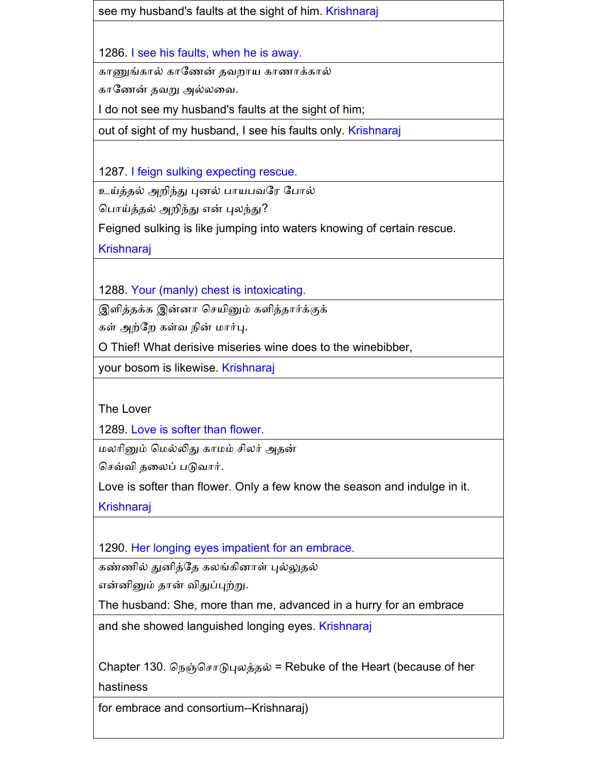see my husband's faults at the sight of him. Krishnaraj

1286. I see his faults, when he is away.

காணுங்கால் காகணன் தவைாய காணாக்கால்

காகணன் தவறு அல்லனவ.

I do not see my husband's faults at the sight of him;

out of sight of my husband, I see his faults only. Krishnaraj

1287. I feign sulking expecting rescue.

உய்த்தல் அறிந்து புனல் பாயபவரே போல்

கபாய்த்தல் அைிந்து என் புலந்து?

Feigned sulking is like jumping into waters knowing of certain rescue.

Krishnaraj

1288. Your (manly) chest is intoxicating.

இளித்தக்க இன்னா செயினும் களித்தார்க்குக்

கள் அற்கை கள்வ நின் மார்பு.

O Thief! What derisive miseries wine does to the winebibber,

your bosom is likewise. Krishnaraj

The Lover

1289. Love is softer than flower.

மலாினும் கமல்லிது காமம் ிலர் அதன்

க வ்வி தனலப் படுவார்.

Love is softer than flower. Only a few know the season and indulge in it.

Krishnaraj

1290. Her longing eyes impatient for an embrace.

கண்ணில் துனித்தே கலங்கினாள் புல்லுதல்

என்ைினும் தான் விதுப்புற்று.

The husband: She, more than me, advanced in a hurry for an embrace

and she showed languished longing eyes. Krishnaraj

Chapter 130. நெஞ்சொடுபுலத்தல் = Rebuke of the Heart (because of her

hastiness

for embrace and consortium--Krishnaraj)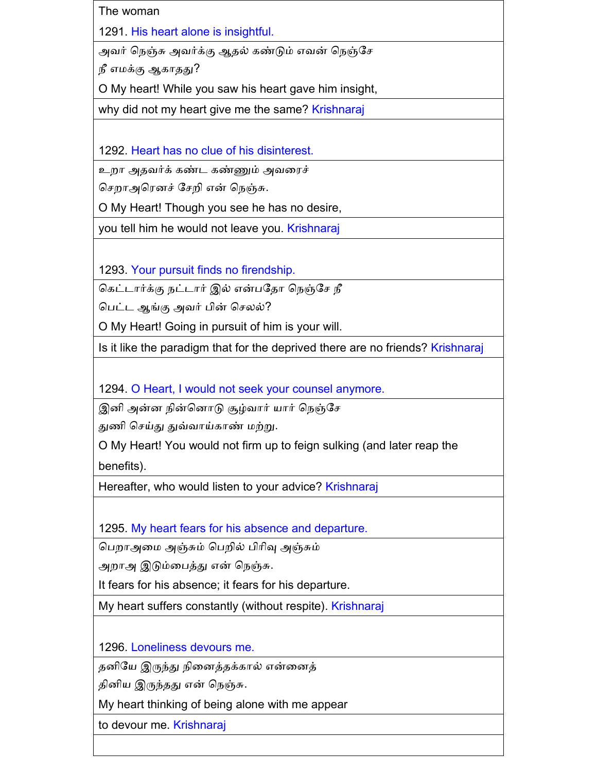The woman 1291. His heart alone is insightful.

அவர் நெஞ்சு அவர்க்கு ஆதல் கண்டும் எவன் நெஞ்சே

நீ எமக்கு ஆகாதது?

O My heart! While you saw his heart gave him insight,

why did not my heart give me the same? Krishnaraj

1292. Heart has no clue of his disinterest.

உைா அதவர்க் கண்ட கண்ணும் அவனரச்

செறாஅரெனச் சேறி என் நெஞ்சு.

O My Heart! Though you see he has no desire,

you tell him he would not leave you. Krishnaraj

1293. Your pursuit finds no firendship.

ககட்டார்க்கு நட்டார் இல் என்பகதா கநஞ்க நீ

பெட்ட ஆங்கு அவர் பின் செலல்?

O My Heart! Going in pursuit of him is your will.

Is it like the paradigm that for the deprived there are no friends? Krishnaraj

1294. O Heart, I would not seek your counsel anymore.

இனி அன்ன நின்னொடு சூழ்வார் யார் நெஞ்சே

துணி செய்து துவ்வாய்காண் மற்று.

O My Heart! You would not firm up to feign sulking (and later reap the

benefits).

Hereafter, who would listen to your advice? Krishnaraj

1295. My heart fears for his absence and departure.

கபைாஅனம அஞ்சும் கபைில் பிாிவு அஞ்சும்

அைாஅ இடும்னபத்து என் கநஞ்சு.

It fears for his absence; it fears for his departure.

My heart suffers constantly (without respite). Krishnaraj

1296. Loneliness devours me.

தைிகய இருந்து நினைத்தக்கால் என்னைத்

திைிய இருந்தது என் கநஞ்சு.

My heart thinking of being alone with me appear

to devour me. Krishnaraj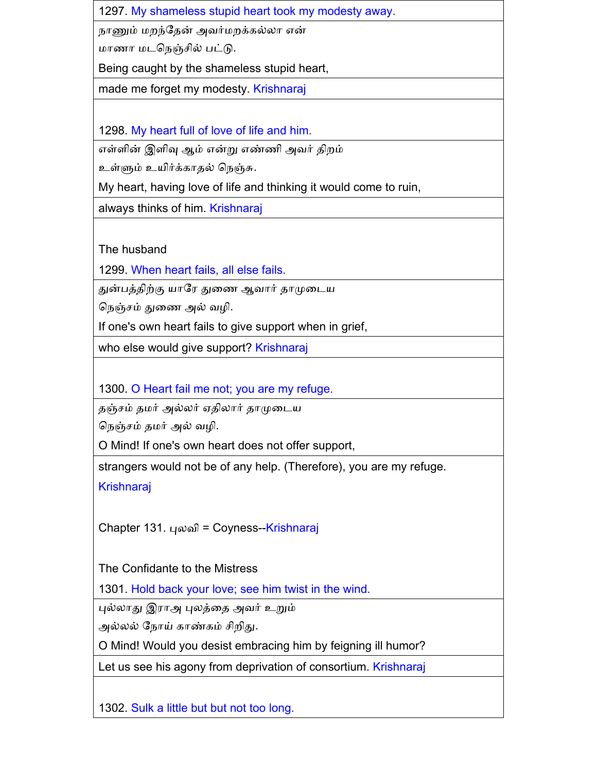1297. My shameless stupid heart took my modesty away.

நாணும் மைந்கதன் அவர்மைக்கல்லா என்

மாணா மடநெஞ்சில் பட்டு.

Being caught by the shameless stupid heart,

made me forget my modesty. Krishnaraj

1298. My heart full of love of life and him.

எள்ளின் இளிவு ஆம் என்று எண்ணி அவர் திைம்

உள்ளும் உயிர்க்காதல் கநஞ்சு.

My heart, having love of life and thinking it would come to ruin,

always thinks of him. Krishnaraj

The husband

1299. When heart fails, all else fails.

துன்பத்திற்கு யாகர துனண ஆவார் தாமுனடய

நெஞ்சம் துணை அல் வழி.

If one's own heart fails to give support when in grief,

who else would give support? Krishnaraj

1300. O Heart fail me not; you are my refuge.

தஞ் ம் தமர் அல்லர் ஏதிலார் தாமுனடய

நெஞ்சம் தமர் அல் வழி.

O Mind! If one's own heart does not offer support,

strangers would not be of any help. (Therefore), you are my refuge.

Krishnaraj

Chapter 131. புலவி = Coyness--Krishnaraj

The Confidante to the Mistress

1301. Hold back your love; see him twist in the wind.

புல்லாது இராஅ புலத்னத அவர் உறும்

அல்லல் நோய் காண்கம் சிறிது.

O Mind! Would you desist embracing him by feigning ill humor?

Let us see his agony from deprivation of consortium. Krishnaraj

1302. Sulk a little but but not too long.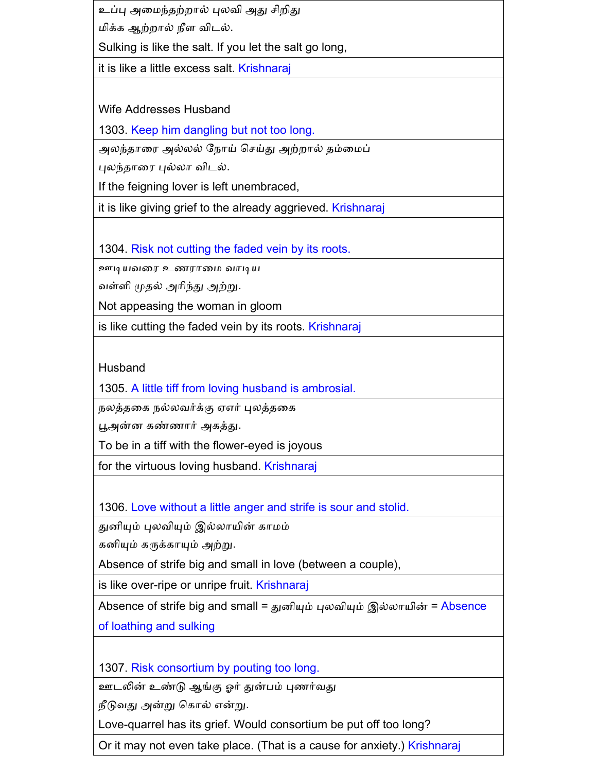உப்பு அமைந்தற்றால் புலவி அது சிறிது மிக்க ஆற்ைால் நீள விடல்.

Sulking is like the salt. If you let the salt go long,

it is like a little excess salt. Krishnaraj

Wife Addresses Husband

1303. Keep him dangling but not too long.

அலந்தாரை அல்லல் நோய் செய்து அற்றால் தம்மைப்

புலந்தானர புல்லா விடல்.

If the feigning lover is left unembraced,

it is like giving grief to the already aggrieved. Krishnaraj

1304. Risk not cutting the faded vein by its roots.

ஊடியவனர உணரானம வாடிய

வள்ளி முதல் அாிந்து அற்று.

Not appeasing the woman in gloom

is like cutting the faded vein by its roots. Krishnaraj

Husband

1305. A little tiff from loving husband is ambrosial.

நலத்தனக நல்லவர்க்கு ஏஎர் புலத்தனக

பூஅன்ை கண்ணார் அகத்து.

To be in a tiff with the flower-eyed is joyous

for the virtuous loving husband. Krishnaraj

1306. Love without a little anger and strife is sour and stolid.

துைியும் புலவியும் இல்லாயின் காமம்

கைியும் கருக்காயும் அற்று.

Absence of strife big and small in love (between a couple),

is like over-ripe or unripe fruit. Krishnaraj

Absence of strife big and small = துனியும் புலவியும் இல்லாயின் = Absence

of loathing and sulking

1307. Risk consortium by pouting too long.

ஊடலின் உண்டு ஆங்கு ஓர் துன்பம் புணர்வது

நீடுவது அன்று ககால் என்று.

Love-quarrel has its grief. Would consortium be put off too long?

Or it may not even take place. (That is a cause for anxiety.) Krishnaraj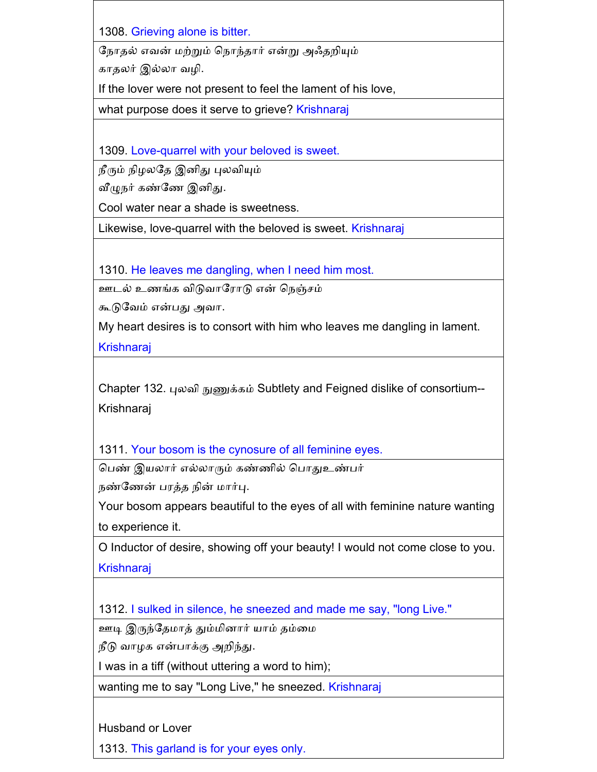1308. Grieving alone is bitter.

கநாதல் எவன் மற்றும் கநாந்தார் என்று அஃதைியும்

காதலர் இல்லா வழி.

If the lover were not present to feel the lament of his love,

what purpose does it serve to grieve? Krishnaraj

1309. Love-quarrel with your beloved is sweet.

நீரும் நிைலகத இைிது புலவியும்

வீழுநர் கண்கண இைிது.

Cool water near a shade is sweetness.

Likewise, love-quarrel with the beloved is sweet. Krishnaraj

1310. He leaves me dangling, when I need him most.

ஊடல் உணங்க விடுவாகராடு என் கநஞ் ம்

கூடுகவம் என்பது அவா.

My heart desires is to consort with him who leaves me dangling in lament.

Krishnaraj

Chapter 132. புலவி நுணுக்கம் Subtlety and Feigned dislike of consortium-- Krishnaraj

1311. Your bosom is the cynosure of all feminine eyes.

கபண் இயலார் எல்லாரும் கண்ணில் கபாதுஉண்பர்

நண்கணன் பரத்த நின் மார்பு.

Your bosom appears beautiful to the eyes of all with feminine nature wanting to experience it.

O Inductor of desire, showing off your beauty! I would not come close to you. **Krishnaraj** 

1312. I sulked in silence, he sneezed and made me say, "long Live."

ஊடி இருந்தேமாத் தும்மினார் யாம் தம்மை

நீடு வாழக என்பாக்கு அறிந்து.

I was in a tiff (without uttering a word to him);

wanting me to say "Long Live," he sneezed. Krishnaraj

Husband or Lover

1313. This garland is for your eyes only.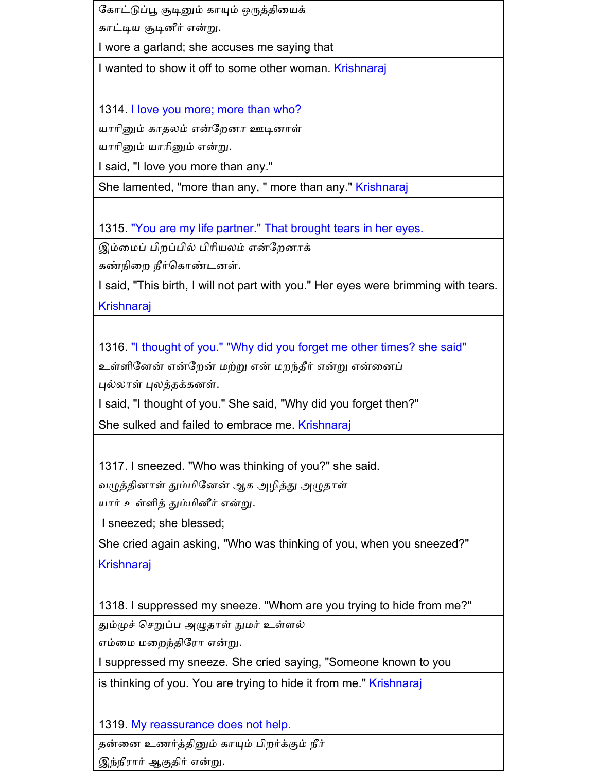கோட்டுப்பூ சூடினும் காயும் ஒருத்தியைக் காட்டிய சூடிைீர் என்று.

I wore a garland; she accuses me saying that

I wanted to show it off to some other woman. Krishnaraj

1314. I love you more; more than who?

யாரினும் காதலம் என்றேனா ஊடினாள்

யாாினும் யாாினும் என்று.

I said, "I love you more than any."

She lamented, "more than any, " more than any." Krishnaraj

1315. "You are my life partner." That brought tears in her eyes.

இம்மைப் பிறப்பில் பிரியலம் என்றேனாக்

கண்நினை நீர்ககாண்டைள்.

I said, "This birth, I will not part with you." Her eyes were brimming with tears. **Krishnaraj** 

1316. "I thought of you." "Why did you forget me other times? she said"

உள்ளினேன் என்றேன் மற்று என் மறந்தீர் என்று என்னைப் புல்லாள் புலத்தக்கைள்.

I said, "I thought of you." She said, "Why did you forget then?"

She sulked and failed to embrace me. Krishnaraj

1317. I sneezed. "Who was thinking of you?" she said.

வழுத்தினாள் தும்மினேன் ஆக அழித்து அழுதாள்

யார் உள்ளித் தும்மினீர் என்று.

I sneezed; she blessed;

She cried again asking, "Who was thinking of you, when you sneezed?" **Krishnaraj** 

1318. I suppressed my sneeze. "Whom are you trying to hide from me?"

தும்முச் செறுப்ப அழுதாள் நுமர் உள்ளல்

எம்னம மனைந்திகரா என்று.

I suppressed my sneeze. She cried saying, "Someone known to you

is thinking of you. You are trying to hide it from me." Krishnaraj

1319. My reassurance does not help.

தன்னை உணர்த்தினும் காயும் பிைர்க்கும் நீர்

இந்நீரார் ஆகுதிர் என்று.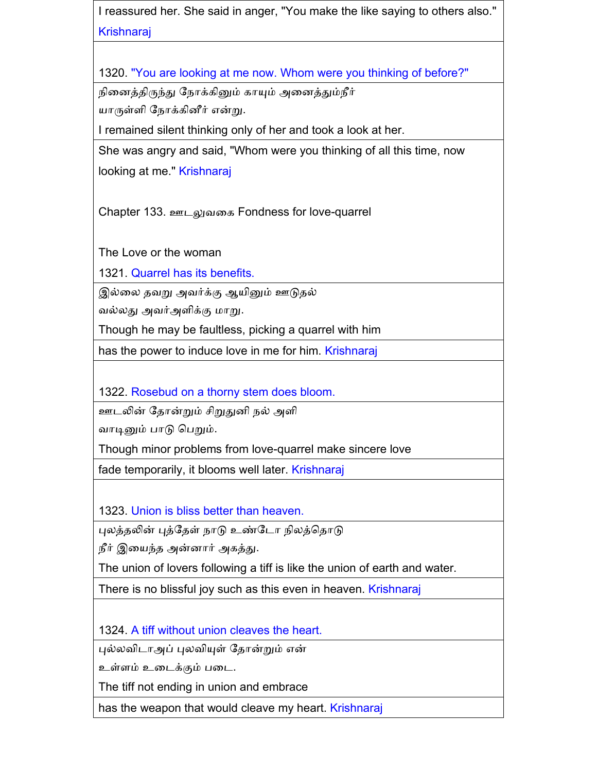I reassured her. She said in anger, "You make the like saying to others also." **Krishnaraj** 

1320. "You are looking at me now. Whom were you thinking of before?"

நினைத்திருந்து கநாக்கினும் காயும் அனைத்தும்நீர்

யாருள்ளி நோக்கினீர் என்று.

I remained silent thinking only of her and took a look at her.

She was angry and said, "Whom were you thinking of all this time, now

looking at me." Krishnaraj

Chapter 133. ஊடலுவனக Fondness for love-quarrel

The Love or the woman

1321. Quarrel has its benefits.

இல்னல தவறு அவர்க்கு ஆயினும் ஊடுதல்

வல்லது அவர்அளிக்கு மாறு.

Though he may be faultless, picking a quarrel with him

has the power to induce love in me for him. Krishnaraj

1322. Rosebud on a thorny stem does bloom.

ஊடலின் கதான்றும் ிறுதுைி நல் அளி

வாடினும் பாடு கபறும்.

Though minor problems from love-quarrel make sincere love

fade temporarily, it blooms well later. Krishnaraj

1323. Union is bliss better than heaven.

புலத்தலின் புத்கதள் நாடு உண்கடா நிலத்கதாடு

நீர் இனயந்த அன்ைார் அகத்து.

The union of lovers following a tiff is like the union of earth and water.

There is no blissful joy such as this even in heaven. Krishnaraj

1324. A tiff without union cleaves the heart.

புல்லவிடாஅப் புலவியுள் கதான்றும் என்

உள்ளம் உனடக்கும் பனட.

The tiff not ending in union and embrace

has the weapon that would cleave my heart. Krishnaraj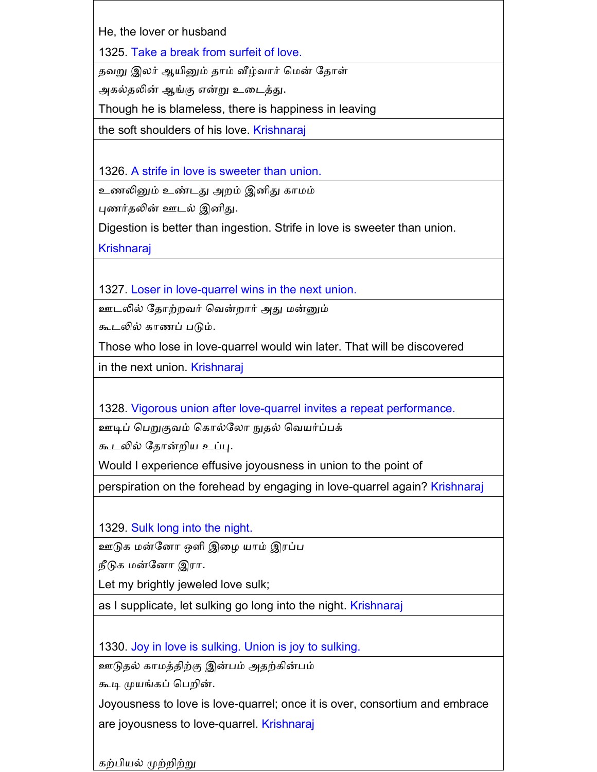He, the lover or husband

1325. Take a break from surfeit of love.

தவறு இலர் ஆயினும் தாம் வீழ்வார் கமன் கதாள்

அகல்தலின் ஆங்கு என்று உனடத்து.

Though he is blameless, there is happiness in leaving

the soft shoulders of his love. Krishnaraj

1326. A strife in love is sweeter than union.

உணலினும் உண்டது அைம் இைிது காமம்

புணர்தலின் ஊடல் இனிது.

Digestion is better than ingestion. Strife in love is sweeter than union.

**Krishnaraj** 

1327. Loser in love-quarrel wins in the next union.

ஊடலில் கதாற்ைவர் கவன்ைார் அது மன்னும்

கூடலில் காணப் படும்.

Those who lose in love-quarrel would win later. That will be discovered

in the next union. Krishnaraj

1328. Vigorous union after love-quarrel invites a repeat performance.

ஊடிப் கபறுகுவம் ககால்கலா நுதல் கவயர்ப்பக்

கூடலில் தோன்றிய உப்பு.

Would I experience effusive joyousness in union to the point of

perspiration on the forehead by engaging in love-quarrel again? Krishnaraj

1329. Sulk long into the night.

ஊடுக மன்கைா ஒளி இனை யாம் இரப்ப

நீடுக மன்கைா இரா.

Let my brightly jeweled love sulk;

as I supplicate, let sulking go long into the night. Krishnaraj

1330. Joy in love is sulking. Union is joy to sulking.

ஊடுதல் காமத்திற்கு இன்பம் அதற்கின்பம்

கூடி முயங்கப் கபைின்.

Joyousness to love is love-quarrel; once it is over, consortium and embrace are joyousness to love-quarrel. Krishnaraj

கற்பியல் முற்ைிற்று